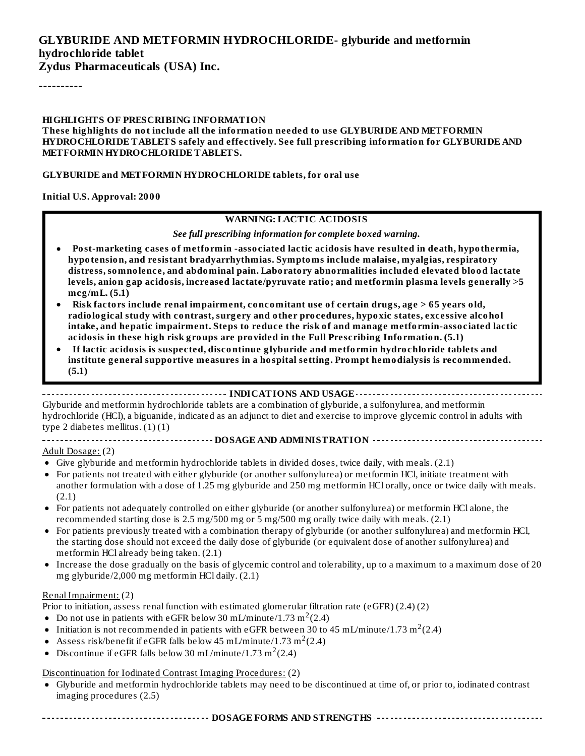# **GLYBURIDE AND METFORMIN HYDROCHLORIDE- glyburide and metformin hydrochloride tablet**

**Zydus Pharmaceuticals (USA) Inc.**

----------

#### **HIGHLIGHTS OF PRESCRIBING INFORMATION**

**These highlights do not include all the information needed to use GLYBURIDE AND METFORMIN HYDROCHLORIDE TABLETS safely and effectively. See full prescribing information for GLYBURIDE AND METFORMIN HYDROCHLORIDE TABLETS.**

#### **GLYBURIDE and METFORMIN HYDROCHLORIDE tablets, for oral use**

**Initial U.S. Approval: 2000**

#### **WARNING: LACTIC ACIDOSIS**

*See full prescribing information for complete boxed warning.*

- **Post-marketing cases of metformin -associated lactic acidosis have resulted in death, hypothermia, hypotension, and resistant bradyarrhythmias. Symptoms include malaise, myalgias, respiratory distress, somnolence, and abdominal pain. Laboratory abnormalities included elevated blood lactate levels, anion gap acidosis, increased lactate/pyruvate ratio; and metformin plasma levels generally >5 mcg/mL. (5.1)**
- **Risk factors include renal impairment, concomitant use of certain drugs, age > 65 years old, radiological study with contrast, surgery and other procedures, hypoxic states, excessive alcohol intake, and hepatic impairment. Steps to reduce the risk of and manage metformin-associated lactic acidosis in these high risk groups are provided in the Full Prescribing Information. (5.1)**
- **If lactic acidosis is suspected, discontinue glyburide and metformin hydrochloride tablets and institute general supportive measures in a hospital setting. Prompt hemodialysis is recommended. (5.1)**

#### **INDICATIONS AND USAGE**

Glyburide and metformin hydrochloride tablets are a combination of glyburide, a sulfonylurea, and metformin hydrochloride (HCl), a biguanide, indicated as an adjunct to diet and exercise to improve glycemic control in adults with type 2 diabetes mellitus.  $(1)(1)$ 

#### **DOSAGE AND ADMINISTRATION**

#### Adult Dosage: (2)

- Give glyburide and metformin hydrochloride tablets in divided doses, twice daily, with meals. (2.1)
- For patients not treated with either glyburide (or another sulfonylurea) or metformin HCl, initiate treatment with another formulation with a dose of 1.25 mg glyburide and 250 mg metformin HCl orally, once or twice daily with meals. (2.1)
- For patients not adequately controlled on either glyburide (or another sulfonylurea) or metformin HCl alone, the recommended starting dose is 2.5 mg/500 mg or 5 mg/500 mg orally twice daily with meals. (2.1)
- For patients previously treated with a combination therapy of glyburide (or another sulfonylurea) and metformin HCl, the starting dose should not exceed the daily dose of glyburide (or equivalent dose of another sulfonylurea) and metformin HCl already being taken. (2.1)
- Increase the dose gradually on the basis of glycemic control and tolerability, up to a maximum to a maximum dose of 20  $\bullet$ mg glyburide/2,000 mg metformin HCl daily. (2.1)

#### Renal Impairment: (2)

Prior to initiation, assess renal function with estimated glomerular filtration rate (eGFR) (2.4) (2)

- Do not use in patients with eGFR below 30 mL/minute/1.73 m<sup>2</sup>(2.4)
- Initiation is not recommended in patients with eGFR between 30 to 45 mL/minute/1.73 m $^2$ (2.4)
- Assess risk/benefit if eGFR falls below 45 mL/minute/1.73 m<sup>2</sup>(2.4)
- Discontinue if eGFR falls below 30 mL/minute/1.73 m<sup>2</sup>(2.4)

#### Discontinuation for Iodinated Contrast Imaging Procedures: (2)

Glyburide and metformin hydrochloride tablets may need to be discontinued at time of, or prior to, iodinated contrast imaging procedures (2.5)

**DOSAGE FORMS AND STRENGTHS CONFIDENTIFIED INTERFERENCE ASSESSED AT A PART OF A REPORT HS AND STRENGTHS**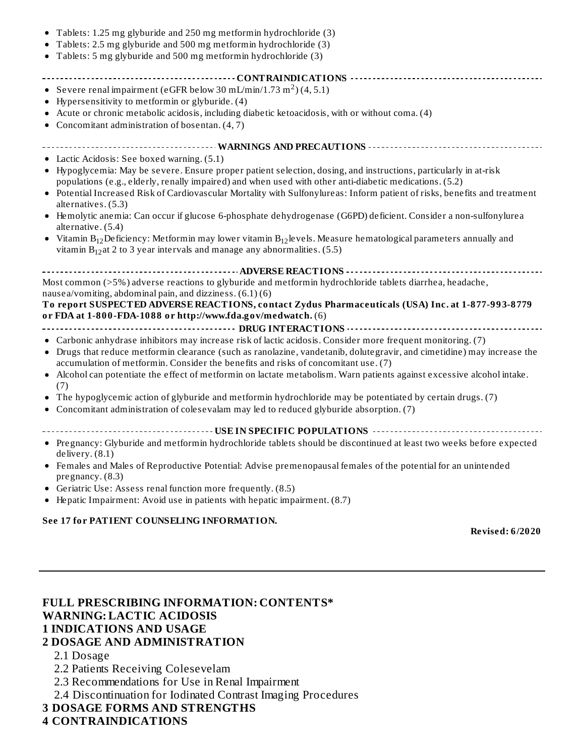| Tablets: 1.25 mg glyburide and 250 mg metformin hydrochloride (3)                                                                                                  |
|--------------------------------------------------------------------------------------------------------------------------------------------------------------------|
| Tablets: 2.5 mg glyburide and 500 mg metformin hydrochloride (3)                                                                                                   |
| • Tablets: 5 mg glyburide and 500 mg metformin hydrochloride (3)                                                                                                   |
|                                                                                                                                                                    |
| ------------------------------------CONTRAINDICATIONS ---------------------------<br>• Severe renal impairment (eGFR below 30 mL/min/1.73 m <sup>2</sup> )(4, 5.1) |
| Hypersensitivity to metformin or glyburide. (4)                                                                                                                    |
| Acute or chronic metabolic acidosis, including diabetic ketoacidosis, with or without coma. (4)                                                                    |
| • Concomitant administration of bosentan. $(4, 7)$                                                                                                                 |
|                                                                                                                                                                    |
| ---------------------- WARNINGS AND PRECAUTIONS --------------------------------                                                                                   |
| • Lactic Acidosis: See boxed warning. (5.1)                                                                                                                        |
| • Hypoglycemia: May be severe. Ensure proper patient selection, dosing, and instructions, particularly in at-risk                                                  |
| populations (e.g., elderly, renally impaired) and when used with other anti-diabetic medications. (5.2)                                                            |
| • Potential Increased Risk of Cardiovascular Mortality with Sulfonylureas: Inform patient of risks, benefits and treatment                                         |
| alternatives. (5.3)                                                                                                                                                |
| • Hemolytic anemia: Can occur if glucose 6-phosphate dehydrogenase (G6PD) deficient. Consider a non-sulfonylurea                                                   |
| alternative. (5.4)                                                                                                                                                 |
| • Vitamin $B_{12}$ Deficiency: Metformin may lower vitamin $B_{12}$ levels. Measure hematological parameters annually and                                          |
| vitamin $B_{12}$ at 2 to 3 year intervals and manage any abnormalities. (5.5)                                                                                      |
|                                                                                                                                                                    |
| Most common (>5%) adverse reactions to glyburide and metformin hydrochloride tablets diarrhea, headache,                                                           |
| nausea/vomiting, abdominal pain, and dizziness. (6.1)(6)                                                                                                           |
| To report SUSPECTED ADVERSE REACTIONS, contact Zydus Pharmaceuticals (USA) Inc. at 1-877-993-8779                                                                  |
| or FDA at 1-800-FDA-1088 or http://www.fda.gov/medwatch. (6)                                                                                                       |
|                                                                                                                                                                    |
| • Carbonic anhydrase inhibitors may increase risk of lactic acidosis. Consider more frequent monitoring. (7)                                                       |
| • Drugs that reduce metformin clearance (such as ranolazine, vandetanib, dolutegravir, and cimetidine) may increase the                                            |
| accumulation of metformin. Consider the benefits and risks of concomitant use. (7)                                                                                 |
| Alcohol can potentiate the effect of metformin on lactate metabolism. Warn patients against excessive alcohol intake.<br>٠                                         |
| (7)                                                                                                                                                                |
| The hypoglycemic action of glyburide and metformin hydrochloride may be potentiated by certain drugs. (7)                                                          |
| Concomitant administration of colesevalam may led to reduced glyburide absorption. (7)                                                                             |
|                                                                                                                                                                    |
| • Pregnancy: Glyburide and metformin hydrochloride tablets should be discontinued at least two weeks before expected                                               |
| delivery. (8.1)                                                                                                                                                    |
| • Females and Males of Reproductive Potential: Advise premenopausal females of the potential for an unintended                                                     |
| pregnancy. (8.3)                                                                                                                                                   |
|                                                                                                                                                                    |
| • Geriatric Use: Assess renal function more frequently. (8.5)                                                                                                      |

Hepatic Impairment: Avoid use in patients with hepatic impairment. (8.7)

#### **See 17 for PATIENT COUNSELING INFORMATION.**

**Revised: 6/2020**

## **FULL PRESCRIBING INFORMATION: CONTENTS\* WARNING: LACTIC ACIDOSIS 1 INDICATIONS AND USAGE 2 DOSAGE AND ADMINISTRATION**

2.1 Dosage

2.2 Patients Receiving Colesevelam

2.3 Recommendations for Use in Renal Impairment

2.4 Discontinuation for Iodinated Contrast Imaging Procedures

#### **3 DOSAGE FORMS AND STRENGTHS**

#### **4 CONTRAINDICATIONS**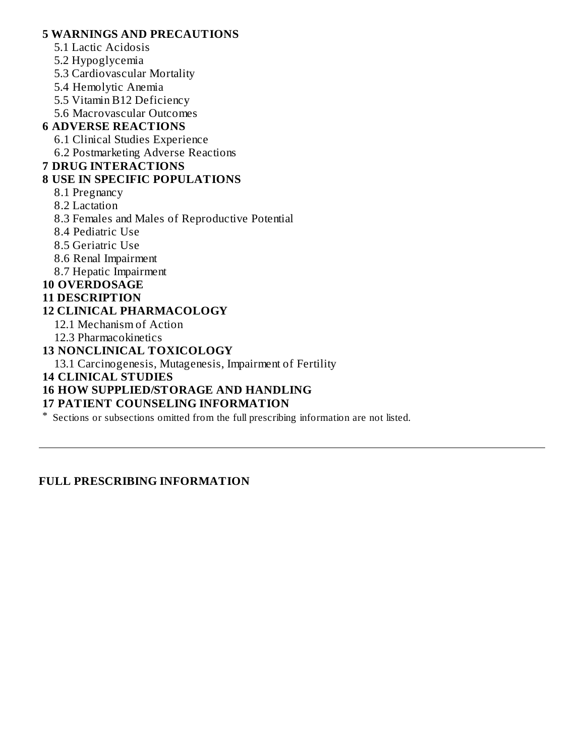### **5 WARNINGS AND PRECAUTIONS**

- 5.1 Lactic Acidosis
- 5.2 Hypoglycemia
- 5.3 Cardiovascular Mortality
- 5.4 Hemolytic Anemia
- 5.5 Vitamin B12 Deficiency
- 5.6 Macrovascular Outcomes

## **6 ADVERSE REACTIONS**

- 6.1 Clinical Studies Experience
- 6.2 Postmarketing Adverse Reactions

### **7 DRUG INTERACTIONS**

### **8 USE IN SPECIFIC POPULATIONS**

- 8.1 Pregnancy
- 8.2 Lactation
- 8.3 Females and Males of Reproductive Potential
- 8.4 Pediatric Use
- 8.5 Geriatric Use
- 8.6 Renal Impairment
- 8.7 Hepatic Impairment

### **10 OVERDOSAGE**

### **11 DESCRIPTION**

### **12 CLINICAL PHARMACOLOGY**

- 12.1 Mechanism of Action
- 12.3 Pharmacokinetics

### **13 NONCLINICAL TOXICOLOGY**

13.1 Carcinogenesis, Mutagenesis, Impairment of Fertility

**14 CLINICAL STUDIES**

### **16 HOW SUPPLIED/STORAGE AND HANDLING**

### **17 PATIENT COUNSELING INFORMATION**

\* Sections or subsections omitted from the full prescribing information are not listed.

### **FULL PRESCRIBING INFORMATION**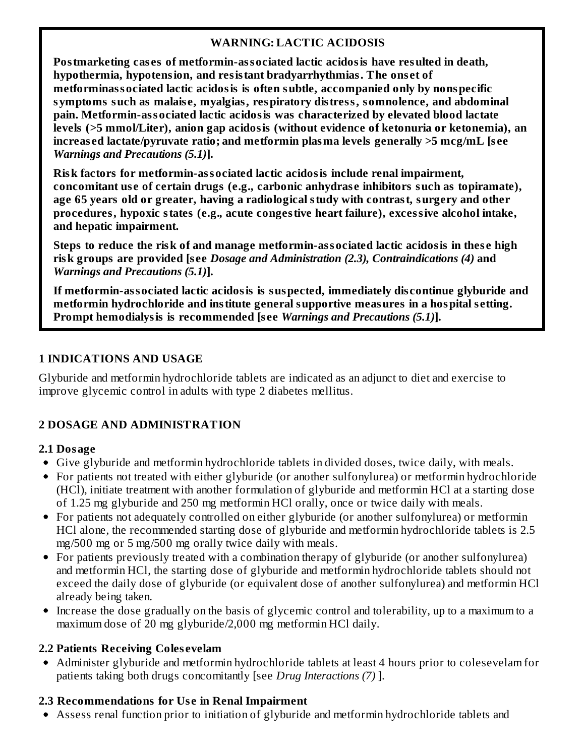## **WARNING: LACTIC ACIDOSIS**

**Postmarketing cas es of metformin-associated lactic acidosis have resulted in death, hypothermia, hypotension, and resistant bradyarrhythmias. The ons et of metforminassociated lactic acidosis is often subtle, accompanied only by nonspecific symptoms such as malais e, myalgias, respiratory distress, somnolence, and abdominal pain. Metformin-associated lactic acidosis was characterized by elevated blood lactate levels (>5 mmol/Liter), anion gap acidosis (without evidence of ketonuria or ketonemia), an increas ed lactate/pyruvate ratio; and metformin plasma levels generally >5 mcg/mL [s ee** *Warnings and Precautions (5.1)***].**

**Risk factors for metformin-associated lactic acidosis include renal impairment, concomitant us e of certain drugs (e.g., carbonic anhydras e inhibitors such as topiramate), age 65 years old or greater, having a radiological study with contrast, surgery and other procedures, hypoxic states (e.g.***,* **acute congestive heart failure), excessive alcohol intake, and hepatic impairment.**

**Steps to reduce the risk of and manage metformin-associated lactic acidosis in thes e high risk groups are provided [s ee** *Dosage and Administration (2.3), Contraindications (4)* **and** *Warnings and Precautions (5.1)***].**

**If metformin-associated lactic acidosis is suspected, immediately dis continue glyburide and metformin hydrochloride and institute general supportive measures in a hospital s etting. Prompt hemodialysis is recommended [s ee** *Warnings and Precautions (5.1)***].**

### **1 INDICATIONS AND USAGE**

Glyburide and metformin hydrochloride tablets are indicated as an adjunct to diet and exercise to improve glycemic control in adults with type 2 diabetes mellitus.

# **2 DOSAGE AND ADMINISTRATION**

## **2.1 Dosage**

- Give glyburide and metformin hydrochloride tablets in divided doses, twice daily, with meals.
- For patients not treated with either glyburide (or another sulfonylurea) or metformin hydrochloride (HCl), initiate treatment with another formulation of glyburide and metformin HCl at a starting dose of 1.25 mg glyburide and 250 mg metformin HCl orally, once or twice daily with meals.
- For patients not adequately controlled on either glyburide (or another sulfonylurea) or metformin HCl alone, the recommended starting dose of glyburide and metformin hydrochloride tablets is 2.5 mg/500 mg or 5 mg/500 mg orally twice daily with meals.
- For patients previously treated with a combination therapy of glyburide (or another sulfonylurea) and metformin HCl, the starting dose of glyburide and metformin hydrochloride tablets should not exceed the daily dose of glyburide (or equivalent dose of another sulfonylurea) and metformin HCl already being taken.
- Increase the dose gradually on the basis of glycemic control and tolerability, up to a maximum to a maximum dose of 20 mg glyburide/2,000 mg metformin HCl daily.

## **2.2 Patients Receiving Coles evelam**

Administer glyburide and metformin hydrochloride tablets at least 4 hours prior to colesevelam for patients taking both drugs concomitantly [see *Drug Interactions (7)* ].

## **2.3 Recommendations for Us e in Renal Impairment**

Assess renal function prior to initiation of glyburide and metformin hydrochloride tablets and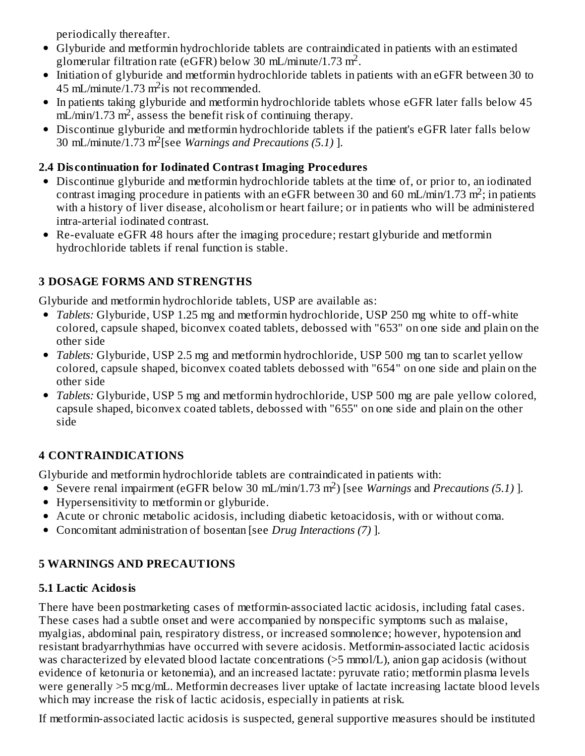periodically thereafter.

- Glyburide and metformin hydrochloride tablets are contraindicated in patients with an estimated glomerular filtration rate (eGFR) below 30 mL/minute/1.73 m<sup>2</sup>.
- Initiation of glyburide and metformin hydrochloride tablets in patients with an eGFR between 30 to  $45$  mL/minute/1.73 m<sup>2</sup> is not recommended.
- In patients taking glyburide and metformin hydrochloride tablets whose eGFR later falls below 45  $mL/min/1.73 m<sup>2</sup>$ , assess the benefit risk of continuing therapy.
- Discontinue glyburide and metformin hydrochloride tablets if the patient's eGFR later falls below 30 mL/minute/1.73 m<sup>2</sup> [see *Warnings and Precautions (5.1)* ].

# **2.4 Dis continuation for Iodinated Contrast Imaging Procedures**

- Discontinue glyburide and metformin hydrochloride tablets at the time of, or prior to, an iodinated contrast imaging procedure in patients with an eGFR between 30 and 60 mL/min/1.73 m<sup>2</sup>; in patients with a history of liver disease, alcoholism or heart failure; or in patients who will be administered intra-arterial iodinated contrast.
- Re-evaluate eGFR 48 hours after the imaging procedure; restart glyburide and metformin hydrochloride tablets if renal function is stable.

# **3 DOSAGE FORMS AND STRENGTHS**

Glyburide and metformin hydrochloride tablets, USP are available as:

- *Tablets:* Glyburide, USP 1.25 mg and metformin hydrochloride, USP 250 mg white to off-white colored, capsule shaped, biconvex coated tablets, debossed with "653" on one side and plain on the other side
- *Tablets:* Glyburide, USP 2.5 mg and metformin hydrochloride, USP 500 mg tan to scarlet yellow colored, capsule shaped, biconvex coated tablets debossed with "654" on one side and plain on the other side
- *Tablets:* Glyburide, USP 5 mg and metformin hydrochloride, USP 500 mg are pale yellow colored, capsule shaped, biconvex coated tablets, debossed with "655" on one side and plain on the other side

# **4 CONTRAINDICATIONS**

Glyburide and metformin hydrochloride tablets are contraindicated in patients with:

- Severe renal impairment (eGFR below 30 mL/min/1.73 m<sup>2</sup>) [see *Warnings* and *Precautions* (5.1)].
- Hypersensitivity to metformin or glyburide.
- Acute or chronic metabolic acidosis, including diabetic ketoacidosis, with or without coma.
- Concomitant administration of bosentan [see *Drug Interactions (7)* ].

# **5 WARNINGS AND PRECAUTIONS**

# **5.1 Lactic Acidosis**

There have been postmarketing cases of metformin-associated lactic acidosis, including fatal cases. These cases had a subtle onset and were accompanied by nonspecific symptoms such as malaise, myalgias, abdominal pain, respiratory distress, or increased somnolence; however, hypotension and resistant bradyarrhythmias have occurred with severe acidosis. Metformin-associated lactic acidosis was characterized by elevated blood lactate concentrations (>5 mmol/L), anion gap acidosis (without evidence of ketonuria or ketonemia), and an increased lactate: pyruvate ratio; metformin plasma levels were generally >5 mcg/mL. Metformin decreases liver uptake of lactate increasing lactate blood levels which may increase the risk of lactic acidosis, especially in patients at risk.

If metformin-associated lactic acidosis is suspected, general supportive measures should be instituted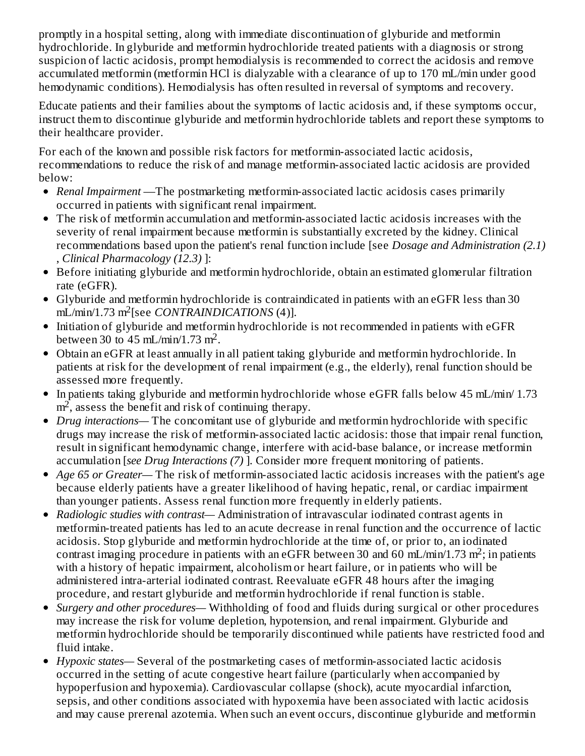promptly in a hospital setting, along with immediate discontinuation of glyburide and metformin hydrochloride. In glyburide and metformin hydrochloride treated patients with a diagnosis or strong suspicion of lactic acidosis, prompt hemodialysis is recommended to correct the acidosis and remove accumulated metformin (metformin HCl is dialyzable with a clearance of up to 170 mL/min under good hemodynamic conditions). Hemodialysis has often resulted in reversal of symptoms and recovery.

Educate patients and their families about the symptoms of lactic acidosis and, if these symptoms occur, instruct them to discontinue glyburide and metformin hydrochloride tablets and report these symptoms to their healthcare provider.

For each of the known and possible risk factors for metformin-associated lactic acidosis, recommendations to reduce the risk of and manage metformin-associated lactic acidosis are provided below:

- *Renal Impairment* —The postmarketing metformin-associated lactic acidosis cases primarily occurred in patients with significant renal impairment.
- The risk of metformin accumulation and metformin-associated lactic acidosis increases with the severity of renal impairment because metformin is substantially excreted by the kidney. Clinical recommendations based upon the patient's renal function include [see *Dosage and Administration (2.1)* , *Clinical Pharmacology (12.3)* ]:
- Before initiating glyburide and metformin hydrochloride, obtain an estimated glomerular filtration  $\bullet$ rate (eGFR).
- Glyburide and metformin hydrochloride is contraindicated in patients with an eGFR less than 30 mL/min/1.73 m<sup>2</sup>[see *CONTRAINDICATIONS* (4)].
- Initiation of glyburide and metformin hydrochloride is not recommended in patients with eGFR between 30 to  $45$  mL/min/1.73 m<sup>2</sup>.
- Obtain an eGFR at least annually in all patient taking glyburide and metformin hydrochloride. In patients at risk for the development of renal impairment (e.g., the elderly), renal function should be assessed more frequently.
- In patients taking glyburide and metformin hydrochloride whose eGFR falls below 45 mL/min/ 1.73  $\bullet$  $m<sup>2</sup>$ , assess the benefit and risk of continuing therapy.
- *Drug interactions—* The concomitant use of glyburide and metformin hydrochloride with specific drugs may increase the risk of metformin-associated lactic acidosis: those that impair renal function, result in significant hemodynamic change, interfere with acid-base balance, or increase metformin accumulation [*see Drug Interactions (7)* ]*.* Consider more frequent monitoring of patients.
- *Age 65 or Greater—* The risk of metformin-associated lactic acidosis increases with the patient's age because elderly patients have a greater likelihood of having hepatic, renal, or cardiac impairment than younger patients. Assess renal function more frequently in elderly patients.
- *Radiologic studies with contrast—* Administration of intravascular iodinated contrast agents in  $\bullet$ metformin-treated patients has led to an acute decrease in renal function and the occurrence of lactic acidosis. Stop glyburide and metformin hydrochloride at the time of, or prior to, an iodinated contrast imaging procedure in patients with an eGFR between 30 and 60 mL/min/1.73 m<sup>2</sup>; in patients with a history of hepatic impairment, alcoholism or heart failure, or in patients who will be administered intra-arterial iodinated contrast. Reevaluate eGFR 48 hours after the imaging procedure, and restart glyburide and metformin hydrochloride if renal function is stable.
- *Surgery and other procedures—* Withholding of food and fluids during surgical or other procedures may increase the risk for volume depletion, hypotension, and renal impairment. Glyburide and metformin hydrochloride should be temporarily discontinued while patients have restricted food and fluid intake.
- *Hypoxic states—* Several of the postmarketing cases of metformin-associated lactic acidosis occurred in the setting of acute congestive heart failure (particularly when accompanied by hypoperfusion and hypoxemia). Cardiovascular collapse (shock), acute myocardial infarction, sepsis, and other conditions associated with hypoxemia have been associated with lactic acidosis and may cause prerenal azotemia. When such an event occurs, discontinue glyburide and metformin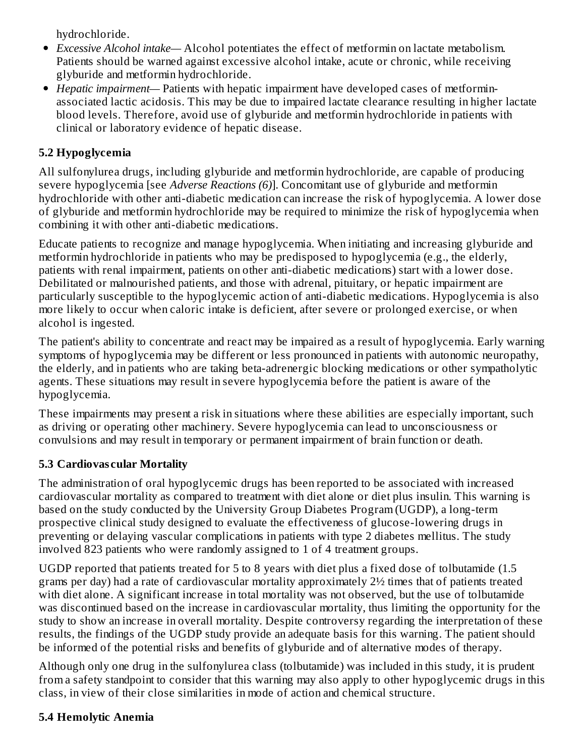hydrochloride.

- *Excessive Alcohol intake—* Alcohol potentiates the effect of metformin on lactate metabolism. Patients should be warned against excessive alcohol intake, acute or chronic, while receiving glyburide and metformin hydrochloride.
- *Hepatic impairment—* Patients with hepatic impairment have developed cases of metforminassociated lactic acidosis. This may be due to impaired lactate clearance resulting in higher lactate blood levels. Therefore, avoid use of glyburide and metformin hydrochloride in patients with clinical or laboratory evidence of hepatic disease.

## **5.2 Hypoglycemia**

All sulfonylurea drugs, including glyburide and metformin hydrochloride, are capable of producing severe hypoglycemia [see *Adverse Reactions (6)*]. Concomitant use of glyburide and metformin hydrochloride with other anti-diabetic medication can increase the risk of hypoglycemia. A lower dose of glyburide and metformin hydrochloride may be required to minimize the risk of hypoglycemia when combining it with other anti-diabetic medications.

Educate patients to recognize and manage hypoglycemia. When initiating and increasing glyburide and metformin hydrochloride in patients who may be predisposed to hypoglycemia (e.g., the elderly, patients with renal impairment, patients on other anti-diabetic medications) start with a lower dose. Debilitated or malnourished patients, and those with adrenal, pituitary, or hepatic impairment are particularly susceptible to the hypoglycemic action of anti-diabetic medications. Hypoglycemia is also more likely to occur when caloric intake is deficient, after severe or prolonged exercise, or when alcohol is ingested.

The patient's ability to concentrate and react may be impaired as a result of hypoglycemia. Early warning symptoms of hypoglycemia may be different or less pronounced in patients with autonomic neuropathy, the elderly, and in patients who are taking beta-adrenergic blocking medications or other sympatholytic agents. These situations may result in severe hypoglycemia before the patient is aware of the hypoglycemia.

These impairments may present a risk in situations where these abilities are especially important, such as driving or operating other machinery. Severe hypoglycemia can lead to unconsciousness or convulsions and may result in temporary or permanent impairment of brain function or death.

## **5.3 Cardiovas cular Mortality**

The administration of oral hypoglycemic drugs has been reported to be associated with increased cardiovascular mortality as compared to treatment with diet alone or diet plus insulin. This warning is based on the study conducted by the University Group Diabetes Program (UGDP), a long-term prospective clinical study designed to evaluate the effectiveness of glucose-lowering drugs in preventing or delaying vascular complications in patients with type 2 diabetes mellitus. The study involved 823 patients who were randomly assigned to 1 of 4 treatment groups.

UGDP reported that patients treated for 5 to 8 years with diet plus a fixed dose of tolbutamide (1.5 grams per day) had a rate of cardiovascular mortality approximately 2½ times that of patients treated with diet alone. A significant increase in total mortality was not observed, but the use of tolbutamide was discontinued based on the increase in cardiovascular mortality, thus limiting the opportunity for the study to show an increase in overall mortality. Despite controversy regarding the interpretation of these results, the findings of the UGDP study provide an adequate basis for this warning. The patient should be informed of the potential risks and benefits of glyburide and of alternative modes of therapy.

Although only one drug in the sulfonylurea class (tolbutamide) was included in this study, it is prudent from a safety standpoint to consider that this warning may also apply to other hypoglycemic drugs in this class, in view of their close similarities in mode of action and chemical structure.

## **5.4 Hemolytic Anemia**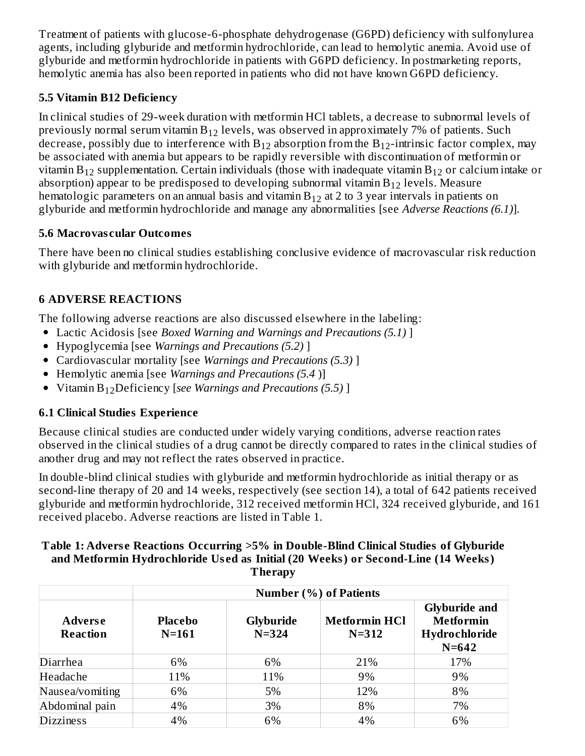Treatment of patients with glucose-6-phosphate dehydrogenase (G6PD) deficiency with sulfonylurea agents, including glyburide and metformin hydrochloride, can lead to hemolytic anemia. Avoid use of glyburide and metformin hydrochloride in patients with G6PD deficiency. In postmarketing reports, hemolytic anemia has also been reported in patients who did not have known G6PD deficiency.

## **5.5 Vitamin B12 Deficiency**

In clinical studies of 29-week duration with metformin HCl tablets, a decrease to subnormal levels of previously normal serum vitamin  $\rm B_{12}$  levels, was observed in approximately 7% of patients. Such decrease, possibly due to interference with  $\rm B_{12}$  absorption from the  $\rm B_{12}$ -intrinsic factor complex, may be associated with anemia but appears to be rapidly reversible with discontinuation of metformin or vitamin  $\rm B_{12}$  supplementation. Certain individuals (those with inadequate vitamin  $\rm B_{12}$  or calcium intake or absorption) appear to be predisposed to developing subnormal vitamin  $\rm B_{12}$  levels. Measure hematologic parameters on an annual basis and vitamin  $\rm{B}_{12}$  at 2 to 3 year intervals in patients on glyburide and metformin hydrochloride and manage any abnormalities [see *Adverse Reactions (6.1)*].

## **5.6 Macrovas cular Outcomes**

There have been no clinical studies establishing conclusive evidence of macrovascular risk reduction with glyburide and metformin hydrochloride.

# **6 ADVERSE REACTIONS**

The following adverse reactions are also discussed elsewhere in the labeling:

- Lactic Acidosis [see *Boxed Warning and Warnings and Precautions (5.1)* ]
- Hypoglycemia [see *Warnings and Precautions (5.2)* ]
- Cardiovascular mortality [see *Warnings and Precautions (5.3)* ]
- Hemolytic anemia [see *Warnings and Precautions (5.4* )]
- *K*itamin B<sub>12</sub>Deficiency [see *Warnings and Precautions (5.5)* ]

# **6.1 Clinical Studies Experience**

Because clinical studies are conducted under widely varying conditions, adverse reaction rates observed in the clinical studies of a drug cannot be directly compared to rates in the clinical studies of another drug and may not reflect the rates observed in practice.

In double-blind clinical studies with glyburide and metformin hydrochloride as initial therapy or as second-line therapy of 20 and 14 weeks, respectively (see section 14), a total of 642 patients received glyburide and metformin hydrochloride, 312 received metformin HCl, 324 received glyburide, and 161 received placebo. Adverse reactions are listed in Table 1.

#### **Table 1: Advers e Reactions Occurring >5% in Double-Blind Clinical Studies of Glyburide and Metformin Hydrochloride Us ed as Initial (20 Weeks) or Second-Line (14 Weeks) Therapy**

|                                   | <b>Number (%) of Patients</b> |                               |                                   |                                                                        |  |  |
|-----------------------------------|-------------------------------|-------------------------------|-----------------------------------|------------------------------------------------------------------------|--|--|
| <b>Adverse</b><br><b>Reaction</b> | Placebo<br>$N = 161$          | <b>Glyburide</b><br>$N = 324$ | <b>Metformin HCl</b><br>$N = 312$ | <b>Glyburide and</b><br><b>Metformin</b><br>Hydrochloride<br>$N = 642$ |  |  |
| Diarrhea                          | 6%                            | 6%                            | 21%                               | 17%                                                                    |  |  |
| Headache                          | 11%                           | 11%                           | 9%                                | 9%                                                                     |  |  |
| Nausea/vomiting                   | 6%                            | 5%                            | 12%                               | 8%                                                                     |  |  |
| Abdominal pain                    | 4%                            | 3%                            | 8%                                | 7%                                                                     |  |  |
| <b>Dizziness</b>                  | 4%                            | 6%                            | 4%                                | 6%                                                                     |  |  |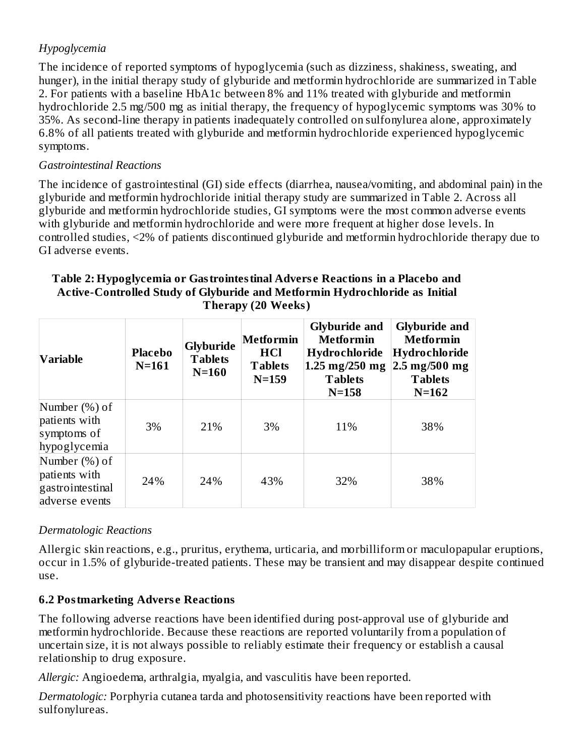## *Hypoglycemia*

The incidence of reported symptoms of hypoglycemia (such as dizziness, shakiness, sweating, and hunger), in the initial therapy study of glyburide and metformin hydrochloride are summarized in Table 2. For patients with a baseline HbA1c between 8% and 11% treated with glyburide and metformin hydrochloride 2.5 mg/500 mg as initial therapy, the frequency of hypoglycemic symptoms was 30% to 35%. As second-line therapy in patients inadequately controlled on sulfonylurea alone, approximately 6.8% of all patients treated with glyburide and metformin hydrochloride experienced hypoglycemic symptoms.

### *Gastrointestinal Reactions*

The incidence of gastrointestinal (GI) side effects (diarrhea, nausea/vomiting, and abdominal pain) in the glyburide and metformin hydrochloride initial therapy study are summarized in Table 2. Across all glyburide and metformin hydrochloride studies, GI symptoms were the most common adverse events with glyburide and metformin hydrochloride and were more frequent at higher dose levels. In controlled studies, <2% of patients discontinued glyburide and metformin hydrochloride therapy due to GI adverse events.

#### **Table 2: Hypoglycemia or Gastrointestinal Advers e Reactions in a Placebo and Active-Controlled Study of Glyburide and Metformin Hydrochloride as Initial Therapy (20 Weeks)**

| Variable                                                             | <b>Placebo</b><br>$N=161$ | <b>Glyburide</b><br><b>Tablets</b><br>$N=160$ | Metformin<br><b>HCl</b><br><b>Tablets</b><br>$N = 159$ | <b>Glyburide and</b><br><b>Metformin</b><br>Hydrochloride<br>$1.25 \text{ mg}/250 \text{ mg}$<br><b>Tablets</b><br>$N = 158$ | <b>Glyburide and</b><br><b>Metformin</b><br>Hydrochloride<br>$2.5 \text{ mg}/500 \text{ mg}$<br><b>Tablets</b><br>$N = 162$ |
|----------------------------------------------------------------------|---------------------------|-----------------------------------------------|--------------------------------------------------------|------------------------------------------------------------------------------------------------------------------------------|-----------------------------------------------------------------------------------------------------------------------------|
| Number (%) of<br>patients with<br>symptoms of<br>hypoglycemia        | 3%                        | 21%                                           | 3%                                                     | 11%                                                                                                                          | 38%                                                                                                                         |
| Number (%) of<br>patients with<br>gastrointestinal<br>adverse events | 24%                       | 24%                                           | 43%                                                    | 32%                                                                                                                          | 38%                                                                                                                         |

## *Dermatologic Reactions*

Allergic skin reactions, e.g., pruritus, erythema, urticaria, and morbilliform or maculopapular eruptions, occur in 1.5% of glyburide-treated patients. These may be transient and may disappear despite continued use.

## **6.2 Postmarketing Advers e Reactions**

The following adverse reactions have been identified during post-approval use of glyburide and metformin hydrochloride. Because these reactions are reported voluntarily from a population of uncertain size, it is not always possible to reliably estimate their frequency or establish a causal relationship to drug exposure.

*Allergic:* Angioedema, arthralgia, myalgia, and vasculitis have been reported.

*Dermatologic:* Porphyria cutanea tarda and photosensitivity reactions have been reported with sulfonylureas.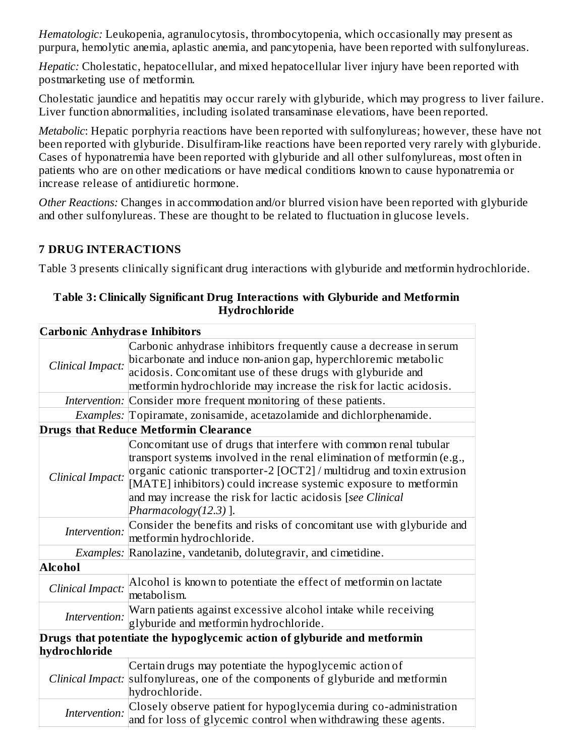*Hematologic:* Leukopenia, agranulocytosis, thrombocytopenia, which occasionally may present as purpura, hemolytic anemia, aplastic anemia, and pancytopenia, have been reported with sulfonylureas.

*Hepatic:* Cholestatic, hepatocellular, and mixed hepatocellular liver injury have been reported with postmarketing use of metformin.

Cholestatic jaundice and hepatitis may occur rarely with glyburide, which may progress to liver failure. Liver function abnormalities, including isolated transaminase elevations, have been reported.

*Metabolic*: Hepatic porphyria reactions have been reported with sulfonylureas; however, these have not been reported with glyburide. Disulfiram-like reactions have been reported very rarely with glyburide. Cases of hyponatremia have been reported with glyburide and all other sulfonylureas, most often in patients who are on other medications or have medical conditions known to cause hyponatremia or increase release of antidiuretic hormone.

*Other Reactions:* Changes in accommodation and/or blurred vision have been reported with glyburide and other sulfonylureas. These are thought to be related to fluctuation in glucose levels.

## **7 DRUG INTERACTIONS**

Table 3 presents clinically significant drug interactions with glyburide and metformin hydrochloride.

| Table 3: Clinically Significant Drug Interactions with Glyburide and Metformin |  |
|--------------------------------------------------------------------------------|--|
| Hydrochloride                                                                  |  |

| <b>Carbonic Anhydrase Inhibitors</b> |                                                                                                                                                                                                                                                                                                                                                                                  |
|--------------------------------------|----------------------------------------------------------------------------------------------------------------------------------------------------------------------------------------------------------------------------------------------------------------------------------------------------------------------------------------------------------------------------------|
| Clinical Impact:                     | Carbonic anhydrase inhibitors frequently cause a decrease in serum<br>bicarbonate and induce non-anion gap, hyperchloremic metabolic<br>acidosis. Concomitant use of these drugs with glyburide and<br>metformin hydrochloride may increase the risk for lactic acidosis.                                                                                                        |
|                                      | Intervention: Consider more frequent monitoring of these patients.                                                                                                                                                                                                                                                                                                               |
|                                      | Examples: Topiramate, zonisamide, acetazolamide and dichlorphenamide.                                                                                                                                                                                                                                                                                                            |
|                                      | <b>Drugs that Reduce Metformin Clearance</b>                                                                                                                                                                                                                                                                                                                                     |
| Clinical Impact:                     | Concomitant use of drugs that interfere with common renal tubular<br>transport systems involved in the renal elimination of metformin (e.g.,<br>organic cationic transporter-2 [OCT2] / multidrug and toxin extrusion<br>[MATE] inhibitors) could increase systemic exposure to metformin<br>and may increase the risk for lactic acidosis [see Clinical<br>Pharmacology(12.3)]. |
| Intervention:                        | Consider the benefits and risks of concomitant use with glyburide and<br>metformin hydrochloride.                                                                                                                                                                                                                                                                                |
|                                      | Examples: Ranolazine, vandetanib, dolutegravir, and cimetidine.                                                                                                                                                                                                                                                                                                                  |
| <b>Alcohol</b>                       |                                                                                                                                                                                                                                                                                                                                                                                  |
| Clinical Impact:                     | Alcohol is known to potentiate the effect of metformin on lactate<br>metabolism.                                                                                                                                                                                                                                                                                                 |
| Intervention:                        | Warn patients against excessive alcohol intake while receiving<br>glyburide and metformin hydrochloride.                                                                                                                                                                                                                                                                         |
| hydrochloride                        | Drugs that potentiate the hypoglycemic action of glyburide and metformin                                                                                                                                                                                                                                                                                                         |
|                                      | Certain drugs may potentiate the hypoglycemic action of<br>Clinical Impact: sulfonylureas, one of the components of glyburide and metformin<br>hydrochloride.                                                                                                                                                                                                                    |
| Intervention:                        | Closely observe patient for hypoglycemia during co-administration<br>and for loss of glycemic control when withdrawing these agents.                                                                                                                                                                                                                                             |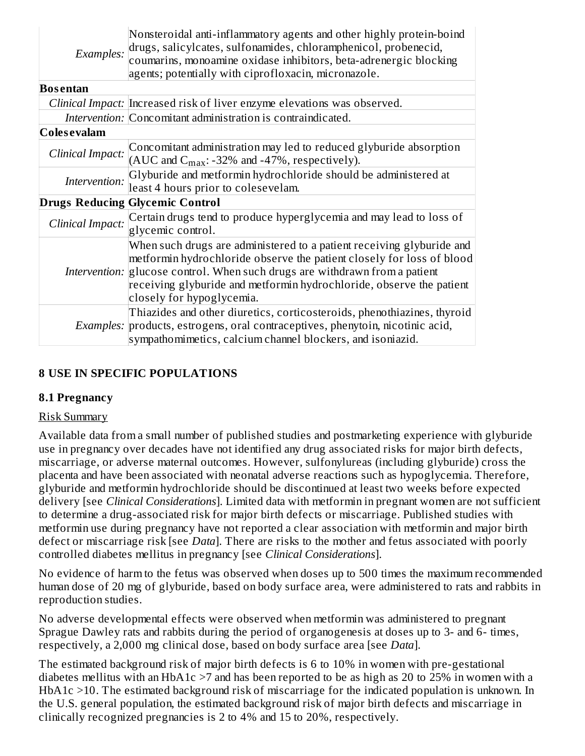|                     | Nonsteroidal anti-inflammatory agents and other highly protein-boind<br>Examples: drugs, salicylcates, sulfonamides, chloramphenicol, probenecid,<br>coumarins, monoamine oxidase inhibitors, beta-adrenergic blocking<br>agents; potentially with ciprofloxacin, micronazole. |  |  |  |
|---------------------|--------------------------------------------------------------------------------------------------------------------------------------------------------------------------------------------------------------------------------------------------------------------------------|--|--|--|
| Bosentan            |                                                                                                                                                                                                                                                                                |  |  |  |
|                     | Clinical Impact: Increased risk of liver enzyme elevations was observed.                                                                                                                                                                                                       |  |  |  |
|                     | Intervention: Concomitant administration is contraindicated.                                                                                                                                                                                                                   |  |  |  |
| <b>Coles evalam</b> |                                                                                                                                                                                                                                                                                |  |  |  |
|                     | <i>Clinical Impact:</i> Concomitant administration may led to reduced glyburide absorption (AUC and C <sub>max</sub> : -32% and -47%, respectively).                                                                                                                           |  |  |  |
|                     | <i>Intervention:</i> Glyburide and metformin hydrochloride should be administered at least 4 hours prior to colesevelam.                                                                                                                                                       |  |  |  |
|                     | <b>Drugs Reducing Glycemic Control</b>                                                                                                                                                                                                                                         |  |  |  |
|                     | Clinical Impact: Certain drugs tend to produce hyperglycemia and may lead to loss of glycemic control.                                                                                                                                                                         |  |  |  |

| glycemic control.                                                                                                                                                                                                                                                                                                                         |
|-------------------------------------------------------------------------------------------------------------------------------------------------------------------------------------------------------------------------------------------------------------------------------------------------------------------------------------------|
| When such drugs are administered to a patient receiving glyburide and<br>metformin hydrochloride observe the patient closely for loss of blood<br><i>Intervention:</i> glucose control. When such drugs are withdrawn from a patient<br>receiving glyburide and metformin hydrochloride, observe the patient<br>closely for hypoglycemia. |
| Thiazides and other diuretics, corticosteroids, phenothiazines, thyroid<br><i>Examples:</i> products, estrogens, oral contraceptives, phenytoin, nicotinic acid,<br>sympathomimetics, calcium channel blockers, and isoniazid.                                                                                                            |

### **8 USE IN SPECIFIC POPULATIONS**

#### **8.1 Pregnancy**

#### Risk Summary

Available data from a small number of published studies and postmarketing experience with glyburide use in pregnancy over decades have not identified any drug associated risks for major birth defects, miscarriage, or adverse maternal outcomes. However, sulfonylureas (including glyburide) cross the placenta and have been associated with neonatal adverse reactions such as hypoglycemia. Therefore, glyburide and metformin hydrochloride should be discontinued at least two weeks before expected delivery [see *Clinical Considerations*]. Limited data with metformin in pregnant women are not sufficient to determine a drug-associated risk for major birth defects or miscarriage. Published studies with metformin use during pregnancy have not reported a clear association with metformin and major birth defect or miscarriage risk [see *Data*]. There are risks to the mother and fetus associated with poorly controlled diabetes mellitus in pregnancy [see *Clinical Considerations*].

No evidence of harm to the fetus was observed when doses up to 500 times the maximum recommended human dose of 20 mg of glyburide, based on body surface area, were administered to rats and rabbits in reproduction studies.

No adverse developmental effects were observed when metformin was administered to pregnant Sprague Dawley rats and rabbits during the period of organogenesis at doses up to 3- and 6- times, respectively, a 2,000 mg clinical dose, based on body surface area [see *Data*].

The estimated background risk of major birth defects is 6 to 10% in women with pre-gestational diabetes mellitus with an HbA1c >7 and has been reported to be as high as 20 to 25% in women with a HbA1c >10. The estimated background risk of miscarriage for the indicated population is unknown. In the U.S. general population, the estimated background risk of major birth defects and miscarriage in clinically recognized pregnancies is 2 to 4% and 15 to 20%, respectively.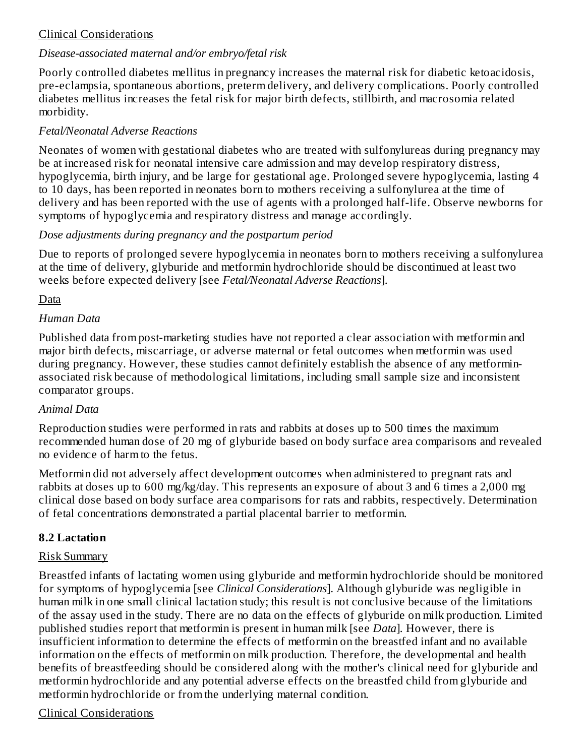## Clinical Considerations

## *Disease-associated maternal and/or embryo/fetal risk*

Poorly controlled diabetes mellitus in pregnancy increases the maternal risk for diabetic ketoacidosis, pre-eclampsia, spontaneous abortions, preterm delivery, and delivery complications. Poorly controlled diabetes mellitus increases the fetal risk for major birth defects, stillbirth, and macrosomia related morbidity.

## *Fetal/Neonatal Adverse Reactions*

Neonates of women with gestational diabetes who are treated with sulfonylureas during pregnancy may be at increased risk for neonatal intensive care admission and may develop respiratory distress, hypoglycemia, birth injury, and be large for gestational age. Prolonged severe hypoglycemia, lasting 4 to 10 days, has been reported in neonates born to mothers receiving a sulfonylurea at the time of delivery and has been reported with the use of agents with a prolonged half-life. Observe newborns for symptoms of hypoglycemia and respiratory distress and manage accordingly.

## *Dose adjustments during pregnancy and the postpartum period*

Due to reports of prolonged severe hypoglycemia in neonates born to mothers receiving a sulfonylurea at the time of delivery, glyburide and metformin hydrochloride should be discontinued at least two weeks before expected delivery [see *Fetal/Neonatal Adverse Reactions*].

## Data

## *Human Data*

Published data from post-marketing studies have not reported a clear association with metformin and major birth defects, miscarriage, or adverse maternal or fetal outcomes when metformin was used during pregnancy. However, these studies cannot definitely establish the absence of any metforminassociated risk because of methodological limitations, including small sample size and inconsistent comparator groups.

### *Animal Data*

Reproduction studies were performed in rats and rabbits at doses up to 500 times the maximum recommended human dose of 20 mg of glyburide based on body surface area comparisons and revealed no evidence of harm to the fetus.

Metformin did not adversely affect development outcomes when administered to pregnant rats and rabbits at doses up to 600 mg/kg/day. This represents an exposure of about 3 and 6 times a 2,000 mg clinical dose based on body surface area comparisons for rats and rabbits, respectively. Determination of fetal concentrations demonstrated a partial placental barrier to metformin.

### **8.2 Lactation**

### Risk Summary

Breastfed infants of lactating women using glyburide and metformin hydrochloride should be monitored for symptoms of hypoglycemia [see *Clinical Considerations*]. Although glyburide was negligible in human milk in one small clinical lactation study; this result is not conclusive because of the limitations of the assay used in the study. There are no data on the effects of glyburide on milk production. Limited published studies report that metformin is present in human milk [see *Data*]*.* However, there is insufficient information to determine the effects of metformin on the breastfed infant and no available information on the effects of metformin on milk production. Therefore, the developmental and health benefits of breastfeeding should be considered along with the mother's clinical need for glyburide and metformin hydrochloride and any potential adverse effects on the breastfed child from glyburide and metformin hydrochloride or from the underlying maternal condition.

## Clinical Considerations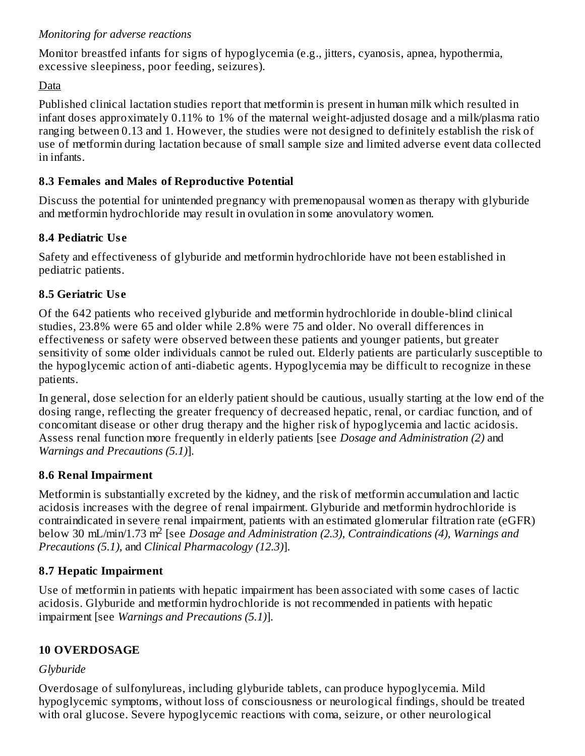## *Monitoring for adverse reactions*

Monitor breastfed infants for signs of hypoglycemia (e.g., jitters, cyanosis, apnea, hypothermia, excessive sleepiness, poor feeding, seizures).

## Data

Published clinical lactation studies report that metformin is present in human milk which resulted in infant doses approximately 0.11% to 1% of the maternal weight-adjusted dosage and a milk/plasma ratio ranging between 0.13 and 1. However, the studies were not designed to definitely establish the risk of use of metformin during lactation because of small sample size and limited adverse event data collected in infants.

## **8.3 Females and Males of Reproductive Potential**

Discuss the potential for unintended pregnancy with premenopausal women as therapy with glyburide and metformin hydrochloride may result in ovulation in some anovulatory women.

## **8.4 Pediatric Us e**

Safety and effectiveness of glyburide and metformin hydrochloride have not been established in pediatric patients.

## **8.5 Geriatric Us e**

Of the 642 patients who received glyburide and metformin hydrochloride in double-blind clinical studies, 23.8% were 65 and older while 2.8% were 75 and older. No overall differences in effectiveness or safety were observed between these patients and younger patients, but greater sensitivity of some older individuals cannot be ruled out. Elderly patients are particularly susceptible to the hypoglycemic action of anti-diabetic agents. Hypoglycemia may be difficult to recognize in these patients.

In general, dose selection for an elderly patient should be cautious, usually starting at the low end of the dosing range, reflecting the greater frequency of decreased hepatic, renal, or cardiac function, and of concomitant disease or other drug therapy and the higher risk of hypoglycemia and lactic acidosis. Assess renal function more frequently in elderly patients [see *Dosage and Administration (2)* and *Warnings and Precautions (5.1)*].

## **8.6 Renal Impairment**

Metformin is substantially excreted by the kidney, and the risk of metformin accumulation and lactic acidosis increases with the degree of renal impairment. Glyburide and metformin hydrochloride is contraindicated in severe renal impairment, patients with an estimated glomerular filtration rate (eGFR) below 30 mL/min/1.73 m<sup>2</sup> [see *Dosage and Administration (2.3), Contraindications (4), Warnings and Precautions (5.1),* and *Clinical Pharmacology (12.3)*].

## **8.7 Hepatic Impairment**

Use of metformin in patients with hepatic impairment has been associated with some cases of lactic acidosis. Glyburide and metformin hydrochloride is not recommended in patients with hepatic impairment [see *Warnings and Precautions (5.1)*].

## **10 OVERDOSAGE**

## *Glyburide*

Overdosage of sulfonylureas, including glyburide tablets, can produce hypoglycemia. Mild hypoglycemic symptoms, without loss of consciousness or neurological findings, should be treated with oral glucose. Severe hypoglycemic reactions with coma, seizure, or other neurological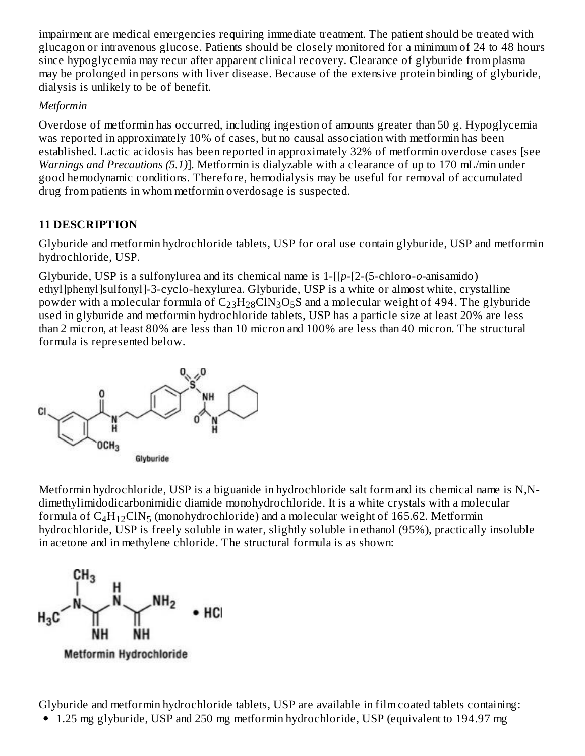impairment are medical emergencies requiring immediate treatment. The patient should be treated with glucagon or intravenous glucose. Patients should be closely monitored for a minimum of 24 to 48 hours since hypoglycemia may recur after apparent clinical recovery. Clearance of glyburide from plasma may be prolonged in persons with liver disease. Because of the extensive protein binding of glyburide, dialysis is unlikely to be of benefit.

## *Metformin*

Overdose of metformin has occurred, including ingestion of amounts greater than 50 g. Hypoglycemia was reported in approximately 10% of cases, but no causal association with metformin has been established. Lactic acidosis has been reported in approximately 32% of metformin overdose cases [see *Warnings and Precautions (5.1)*]. Metformin is dialyzable with a clearance of up to 170 mL/min under good hemodynamic conditions. Therefore, hemodialysis may be useful for removal of accumulated drug from patients in whom metformin overdosage is suspected.

## **11 DESCRIPTION**

Glyburide and metformin hydrochloride tablets, USP for oral use contain glyburide, USP and metformin hydrochloride, USP.

Glyburide, USP is a sulfonylurea and its chemical name is 1-[[*p*-[2-(5-chloro-*o-*anisamido) ethyl]phenyl]sulfonyl]-3-cyclo-hexylurea. Glyburide, USP is a white or almost white, crystalline powder with a molecular formula of  $\rm{C_{23}H_{28}CIN_3O_5S}$  and a molecular weight of 494. The glyburide used in glyburide and metformin hydrochloride tablets, USP has a particle size at least 20% are less than 2 micron, at least 80% are less than 10 micron and 100% are less than 40 micron. The structural formula is represented below.



Metformin hydrochloride, USP is a biguanide in hydrochloride salt form and its chemical name is N,Ndimethylimidodicarbonimidic diamide monohydrochloride. It is a white crystals with a molecular formula of  $C_4H_{12}CIN_5$  (monohydrochloride) and a molecular weight of 165.62. Metformin hydrochloride, USP is freely soluble in water, slightly soluble in ethanol (95%), practically insoluble in acetone and in methylene chloride. The structural formula is as shown:



Glyburide and metformin hydrochloride tablets, USP are available in film coated tablets containing: 1.25 mg glyburide, USP and 250 mg metformin hydrochloride, USP (equivalent to 194.97 mg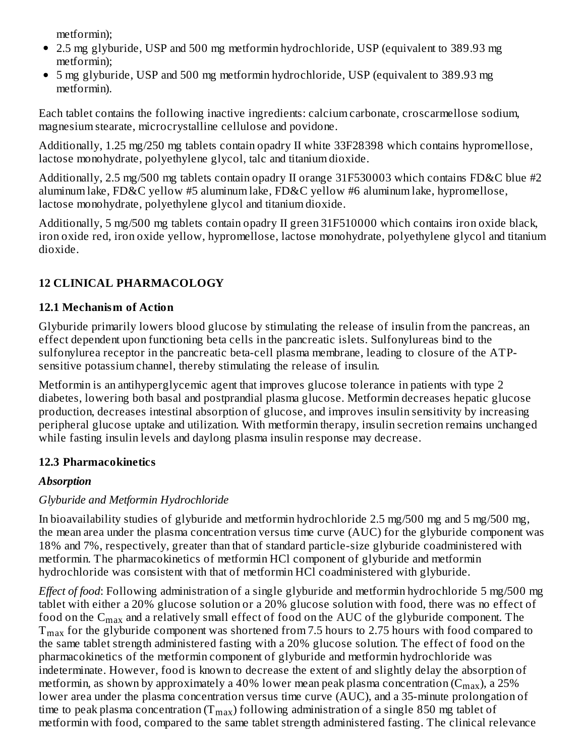metformin);

- 2.5 mg glyburide, USP and 500 mg metformin hydrochloride, USP (equivalent to 389.93 mg metformin);
- 5 mg glyburide, USP and 500 mg metformin hydrochloride, USP (equivalent to 389.93 mg metformin).

Each tablet contains the following inactive ingredients: calcium carbonate, croscarmellose sodium, magnesium stearate, microcrystalline cellulose and povidone.

Additionally, 1.25 mg/250 mg tablets contain opadry II white 33F28398 which contains hypromellose, lactose monohydrate, polyethylene glycol, talc and titanium dioxide.

Additionally, 2.5 mg/500 mg tablets contain opadry II orange 31F530003 which contains FD&C blue #2 aluminum lake, FD&C yellow #5 aluminum lake, FD&C yellow #6 aluminum lake, hypromellose, lactose monohydrate, polyethylene glycol and titanium dioxide.

Additionally, 5 mg/500 mg tablets contain opadry II green 31F510000 which contains iron oxide black, iron oxide red, iron oxide yellow, hypromellose, lactose monohydrate, polyethylene glycol and titanium dioxide.

# **12 CLINICAL PHARMACOLOGY**

# **12.1 Mechanism of Action**

Glyburide primarily lowers blood glucose by stimulating the release of insulin from the pancreas, an effect dependent upon functioning beta cells in the pancreatic islets. Sulfonylureas bind to the sulfonylurea receptor in the pancreatic beta-cell plasma membrane, leading to closure of the ATPsensitive potassium channel, thereby stimulating the release of insulin.

Metformin is an antihyperglycemic agent that improves glucose tolerance in patients with type 2 diabetes, lowering both basal and postprandial plasma glucose. Metformin decreases hepatic glucose production, decreases intestinal absorption of glucose, and improves insulin sensitivity by increasing peripheral glucose uptake and utilization. With metformin therapy, insulin secretion remains unchanged while fasting insulin levels and daylong plasma insulin response may decrease.

# **12.3 Pharmacokinetics**

# *Absorption*

# *Glyburide and Metformin Hydrochloride*

In bioavailability studies of glyburide and metformin hydrochloride 2.5 mg/500 mg and 5 mg/500 mg, the mean area under the plasma concentration versus time curve (AUC) for the glyburide component was 18% and 7%, respectively, greater than that of standard particle-size glyburide coadministered with metformin. The pharmacokinetics of metformin HCl component of glyburide and metformin hydrochloride was consistent with that of metformin HCl coadministered with glyburide.

*Effect of food*: Following administration of a single glyburide and metformin hydrochloride 5 mg/500 mg tablet with either a 20% glucose solution or a 20% glucose solution with food, there was no effect of food on the  $\rm{C_{max}}$  and a relatively small effect of food on the AUC of the glyburide component. The  $\rm T_{max}$  for the glyburide component was shortened from 7.5 hours to 2.75 hours with food compared to the same tablet strength administered fasting with a 20% glucose solution. The effect of food on the pharmacokinetics of the metformin component of glyburide and metformin hydrochloride was indeterminate. However, food is known to decrease the extent of and slightly delay the absorption of metformin, as shown by approximately a 40% lower mean peak plasma concentration (C $_{\rm max}$ ), a 25% lower area under the plasma concentration versus time curve (AUC), and a 35-minute prolongation of time to peak plasma concentration (T $_{\rm max}$ ) following administration of a single 850 mg tablet of metformin with food, compared to the same tablet strength administered fasting. The clinical relevance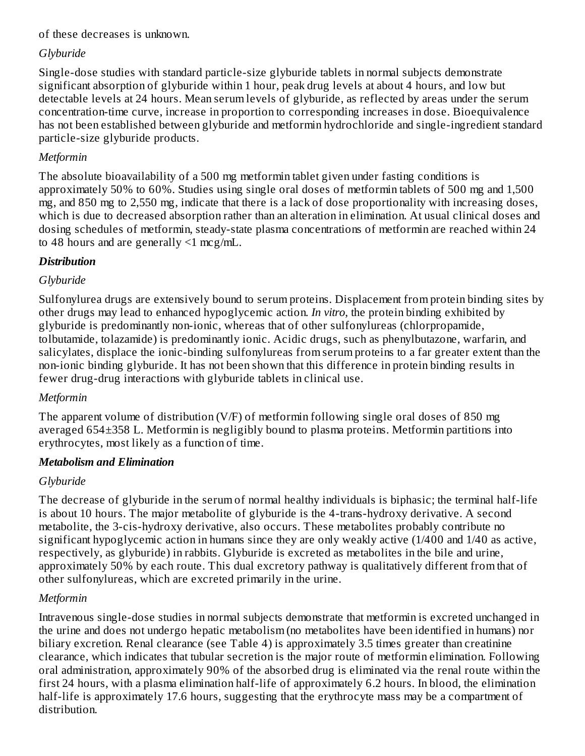### of these decreases is unknown.

## *Glyburide*

Single-dose studies with standard particle-size glyburide tablets in normal subjects demonstrate significant absorption of glyburide within 1 hour, peak drug levels at about 4 hours, and low but detectable levels at 24 hours. Mean serum levels of glyburide, as reflected by areas under the serum concentration-time curve, increase in proportion to corresponding increases in dose. Bioequivalence has not been established between glyburide and metformin hydrochloride and single-ingredient standard particle-size glyburide products.

## *Metformin*

The absolute bioavailability of a 500 mg metformin tablet given under fasting conditions is approximately 50% to 60%. Studies using single oral doses of metformin tablets of 500 mg and 1,500 mg, and 850 mg to 2,550 mg, indicate that there is a lack of dose proportionality with increasing doses, which is due to decreased absorption rather than an alteration in elimination. At usual clinical doses and dosing schedules of metformin, steady-state plasma concentrations of metformin are reached within 24 to 48 hours and are generally  $\leq 1$  mcg/mL.

## *Distribution*

## *Glyburide*

Sulfonylurea drugs are extensively bound to serum proteins. Displacement from protein binding sites by other drugs may lead to enhanced hypoglycemic action. *In vitro*, the protein binding exhibited by glyburide is predominantly non-ionic, whereas that of other sulfonylureas (chlorpropamide, tolbutamide, tolazamide) is predominantly ionic. Acidic drugs, such as phenylbutazone, warfarin, and salicylates, displace the ionic-binding sulfonylureas from serum proteins to a far greater extent than the non-ionic binding glyburide. It has not been shown that this difference in protein binding results in fewer drug-drug interactions with glyburide tablets in clinical use.

### *Metformin*

The apparent volume of distribution (V/F) of metformin following single oral doses of 850 mg averaged 654±358 L. Metformin is negligibly bound to plasma proteins. Metformin partitions into erythrocytes, most likely as a function of time.

### *Metabolism and Elimination*

## *Glyburide*

The decrease of glyburide in the serum of normal healthy individuals is biphasic; the terminal half-life is about 10 hours. The major metabolite of glyburide is the 4-trans-hydroxy derivative. A second metabolite, the 3-cis-hydroxy derivative, also occurs. These metabolites probably contribute no significant hypoglycemic action in humans since they are only weakly active (1/400 and 1/40 as active, respectively, as glyburide) in rabbits. Glyburide is excreted as metabolites in the bile and urine, approximately 50% by each route. This dual excretory pathway is qualitatively different from that of other sulfonylureas, which are excreted primarily in the urine.

## *Metformin*

Intravenous single-dose studies in normal subjects demonstrate that metformin is excreted unchanged in the urine and does not undergo hepatic metabolism (no metabolites have been identified in humans) nor biliary excretion. Renal clearance (see Table 4) is approximately 3.5 times greater than creatinine clearance, which indicates that tubular secretion is the major route of metformin elimination. Following oral administration, approximately 90% of the absorbed drug is eliminated via the renal route within the first 24 hours, with a plasma elimination half-life of approximately 6.2 hours. In blood, the elimination half-life is approximately 17.6 hours, suggesting that the erythrocyte mass may be a compartment of distribution.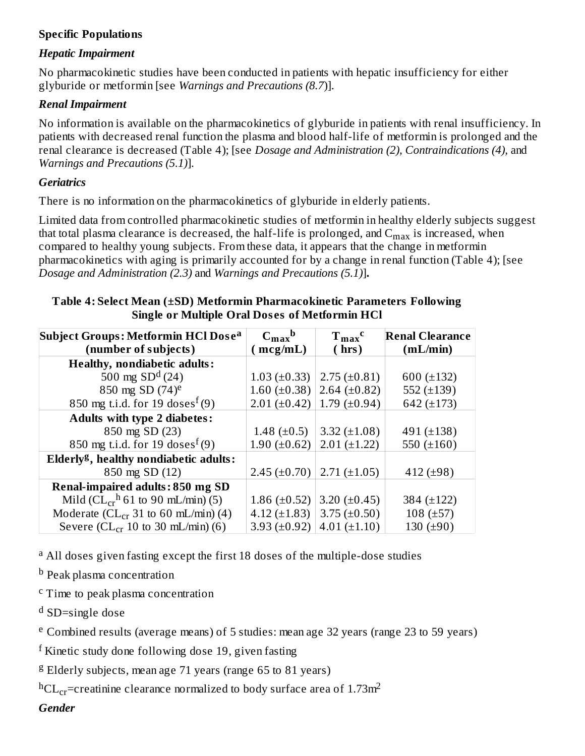### **Specific Populations**

### *Hepatic Impairment*

No pharmacokinetic studies have been conducted in patients with hepatic insufficiency for either glyburide or metformin [see *Warnings and Precautions (8.7*)].

### *Renal Impairment*

No information is available on the pharmacokinetics of glyburide in patients with renal insufficiency. In patients with decreased renal function the plasma and blood half-life of metformin is prolonged and the renal clearance is decreased (Table 4); [see *Dosage and Administration (2), Contraindications (4),* and *Warnings and Precautions (5.1)*].

### *Geriatrics*

There is no information on the pharmacokinetics of glyburide in elderly patients.

Limited data from controlled pharmacokinetic studies of metformin in healthy elderly subjects suggest that total plasma clearance is decreased, the half-life is prolonged, and  $\rm{C_{max}}$  is increased, when compared to healthy young subjects. From these data, it appears that the change in metformin pharmacokinetics with aging is primarily accounted for by a change in renal function (Table 4); [see *Dosage and Administration (2.3)* and *Warnings and Precautions (5.1)*]**.**

#### **Table 4: Select Mean (±SD) Metformin Pharmacokinetic Parameters Following Single or Multiple Oral Dos es of Metformin HCl**

| Subject Groups: Metformin HCl Dose <sup>a</sup>          | $C_{\rm max}^{\qquad b}$ | $T_{max}$ <sup>c</sup> | <b>Renal Clearance</b> |
|----------------------------------------------------------|--------------------------|------------------------|------------------------|
| (number of subjects)                                     | mcg/mL)                  | (hrs)                  | (mL/min)               |
| <b>Healthy, nondiabetic adults:</b>                      |                          |                        |                        |
| 500 mg $SDd(24)$                                         | $1.03 (\pm 0.33)$        | $2.75 \ (\pm 0.81)$    | 600 $(\pm 132)$        |
| 850 mg SD $(74)$ <sup>e</sup>                            | 1.60 $(\pm 0.38)$        | 2.64 $(\pm 0.82)$      | 552 $(\pm 139)$        |
| 850 mg t.i.d. for 19 doses <sup><math>f</math></sup> (9) | $2.01 (\pm 0.42)$        | 1.79 $(\pm 0.94)$      | 642 (±173)             |
| <b>Adults with type 2 diabetes:</b>                      |                          |                        |                        |
| 850 mg SD (23)                                           | 1.48 $(\pm 0.5)$         | 3.32 $(\pm 1.08)$      | 491 $(\pm 138)$        |
| 850 mg t.i.d. for 19 doses <sup>f</sup> (9)              | 1.90 $(\pm 0.62)$        | $2.01 (\pm 1.22)$      | 550 $(\pm 160)$        |
| Elderly <sup>g</sup> , healthy nondiabetic adults:       |                          |                        |                        |
| 850 mg SD (12)                                           | $2.45 \ (\pm 0.70)$      | $2.71 (\pm 1.05)$      | 412 $(\pm 98)$         |
| <b>Renal-impaired adults: 850 mg SD</b>                  |                          |                        |                        |
| Mild ( $CL_{cr}$ <sup>h</sup> 61 to 90 mL/min) (5)       | 1.86 $(\pm 0.52)$        | 3.20 $(\pm 0.45)$      | 384 (±122)             |
| Moderate ( $CL_{cr}$ 31 to 60 mL/min) (4)                | 4.12 $(\pm 1.83)$        | $3.75 \ (\pm 0.50)$    | 108 $(\pm 57)$         |
| Severe ( $CL_{cr}$ 10 to 30 mL/min) (6)                  | 3.93 $(\pm 0.92)$        | $4.01 (\pm 1.10)$      | 130 $(\pm 90)$         |

<sup>a</sup> All doses given fasting except the first 18 doses of the multiple-dose studies

<sup>b</sup> Peak plasma concentration

<sup>c</sup> Time to peak plasma concentration

<sup>d</sup> SD=single dose

<sup>e</sup> Combined results (average means) of 5 studies: mean age 32 years (range 23 to 59 years)

 $f$  Kinetic study done following dose 19, given fasting

<sup>g</sup> Elderly subjects, mean age 71 years (range 65 to 81 years)

 $^{\rm h}{\rm CL}_{\rm cr}$ =creatinine clearance normalized to body surface area of 1.73m $^2$ 

*Gender*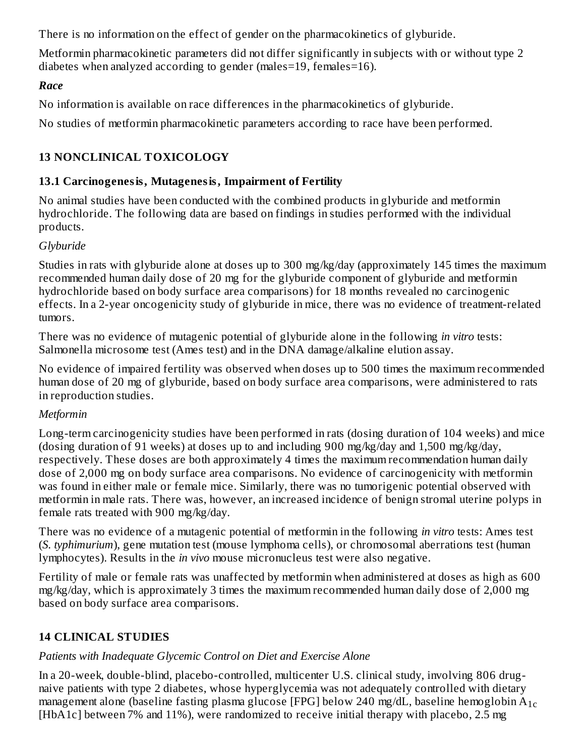There is no information on the effect of gender on the pharmacokinetics of glyburide.

Metformin pharmacokinetic parameters did not differ significantly in subjects with or without type 2 diabetes when analyzed according to gender (males=19, females=16).

## *Race*

No information is available on race differences in the pharmacokinetics of glyburide.

No studies of metformin pharmacokinetic parameters according to race have been performed.

# **13 NONCLINICAL TOXICOLOGY**

## **13.1 Carcinogenesis, Mutagenesis, Impairment of Fertility**

No animal studies have been conducted with the combined products in glyburide and metformin hydrochloride. The following data are based on findings in studies performed with the individual products.

## *Glyburide*

Studies in rats with glyburide alone at doses up to 300 mg/kg/day (approximately 145 times the maximum recommended human daily dose of 20 mg for the glyburide component of glyburide and metformin hydrochloride based on body surface area comparisons) for 18 months revealed no carcinogenic effects. In a 2-year oncogenicity study of glyburide in mice, there was no evidence of treatment-related tumors.

There was no evidence of mutagenic potential of glyburide alone in the following *in vitro* tests: Salmonella microsome test (Ames test) and in the DNA damage/alkaline elution assay.

No evidence of impaired fertility was observed when doses up to 500 times the maximum recommended human dose of 20 mg of glyburide, based on body surface area comparisons, were administered to rats in reproduction studies.

## *Metformin*

Long-term carcinogenicity studies have been performed in rats (dosing duration of 104 weeks) and mice (dosing duration of 91 weeks) at doses up to and including 900 mg/kg/day and 1,500 mg/kg/day, respectively. These doses are both approximately 4 times the maximum recommendation human daily dose of 2,000 mg on body surface area comparisons. No evidence of carcinogenicity with metformin was found in either male or female mice. Similarly, there was no tumorigenic potential observed with metformin in male rats. There was, however, an increased incidence of benign stromal uterine polyps in female rats treated with 900 mg/kg/day.

There was no evidence of a mutagenic potential of metformin in the following *in vitro* tests: Ames test (*S. typhimurium*), gene mutation test (mouse lymphoma cells), or chromosomal aberrations test (human lymphocytes). Results in the *in vivo* mouse micronucleus test were also negative.

Fertility of male or female rats was unaffected by metformin when administered at doses as high as 600 mg/kg/day, which is approximately 3 times the maximum recommended human daily dose of 2,000 mg based on body surface area comparisons.

# **14 CLINICAL STUDIES**

# *Patients with Inadequate Glycemic Control on Diet and Exercise Alone*

In a 20-week, double-blind, placebo-controlled, multicenter U.S. clinical study, involving 806 drugnaive patients with type 2 diabetes, whose hyperglycemia was not adequately controlled with dietary management alone (baseline fasting plasma glucose [FPG] below 240 mg/dL, baseline hemoglobin  $\rm A_{1c}$ [HbA1c] between 7% and 11%), were randomized to receive initial therapy with placebo, 2.5 mg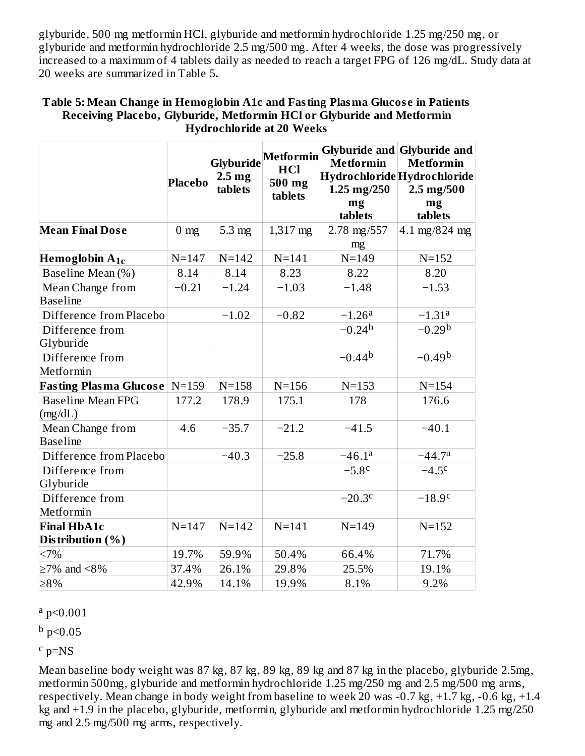glyburide, 500 mg metformin HCl, glyburide and metformin hydrochloride 1.25 mg/250 mg, or glyburide and metformin hydrochloride 2.5 mg/500 mg. After 4 weeks, the dose was progressively increased to a maximum of 4 tablets daily as needed to reach a target FPG of 126 mg/dL. Study data at 20 weeks are summarized in Table 5**.**

|                                     | <b>Placebo</b> | 2.5 <sub>mg</sub><br>tablets | Glyburide <sup> Metformin </sup><br><b>HCl</b><br>500 mg<br>tablets | <b>Metformin</b><br>$1.25 \text{ mg}/250$<br>mg<br>tablets | Glyburide and Glyburide and<br><b>Metformin</b><br>Hydrochloride Hydrochloride<br>2.5 mg/500<br>mg<br>tablets |
|-------------------------------------|----------------|------------------------------|---------------------------------------------------------------------|------------------------------------------------------------|---------------------------------------------------------------------------------------------------------------|
| <b>Mean Final Dose</b>              | $0 \text{ mg}$ | $5.3 \text{ mg}$             | $1,317 \text{ mg}$                                                  | 2.78 mg/557<br>mg                                          | 4.1 mg/824 mg                                                                                                 |
| Hemoglobin $A_{1c}$                 | $N = 147$      | $N = 142$                    | $N = 141$                                                           | $N = 149$                                                  | $N = 152$                                                                                                     |
| Baseline Mean (%)                   | 8.14           | 8.14                         | 8.23                                                                | 8.22                                                       | 8.20                                                                                                          |
| Mean Change from<br><b>Baseline</b> | $-0.21$        | $-1.24$                      | $-1.03$                                                             | $-1.48$                                                    | $-1.53$                                                                                                       |
| Difference from Placebo             |                | $-1.02$                      | $-0.82$                                                             | $-1.26a$                                                   | $-1.31a$                                                                                                      |
| Difference from<br>Glyburide        |                |                              |                                                                     | $-0.24b$                                                   | $-0.29b$                                                                                                      |
| Difference from<br>Metformin        |                |                              |                                                                     | $-0.44b$                                                   | $-0.49b$                                                                                                      |
| <b>Fasting Plasma Glucose</b>       | $N = 159$      | $N = 158$                    | $N = 156$                                                           | $N = 153$                                                  | $N = 154$                                                                                                     |
| <b>Baseline Mean FPG</b><br>(mg/dL) | 177.2          | 178.9                        | 175.1                                                               | 178                                                        | 176.6                                                                                                         |
| Mean Change from<br><b>Baseline</b> | 4.6            | $-35.7$                      | $-21.2$                                                             | $-41.5$                                                    | $-40.1$                                                                                                       |
| Difference from Placebo             |                | $-40.3$                      | $-25.8$                                                             | $-46.1a$                                                   | $-44.7a$                                                                                                      |
| Difference from<br>Glyburide        |                |                              |                                                                     | $-5.8c$                                                    | $-4.5c$                                                                                                       |
| Difference from<br>Metformin        |                |                              |                                                                     | $-20.3c$                                                   | $-18.9c$                                                                                                      |
| <b>Final HbA1c</b>                  | $N = 147$      | $N = 142$                    | $N = 141$                                                           | $N = 149$                                                  | $N = 152$                                                                                                     |
| Distribution $(\%)$                 |                |                              |                                                                     |                                                            |                                                                                                               |
| <7%                                 | 19.7%          | 59.9%                        | 50.4%                                                               | 66.4%                                                      | 71.7%                                                                                                         |
| $\geq$ 7% and <8%                   | 37.4%          | 26.1%                        | 29.8%                                                               | 25.5%                                                      | 19.1%                                                                                                         |
| $\geq 8\%$                          | 42.9%          | 14.1%                        | 19.9%                                                               | 8.1%                                                       | 9.2%                                                                                                          |

#### **Table 5: Mean Change in Hemoglobin A1c and Fasting Plasma Glucos e in Patients Receiving Placebo, Glyburide, Metformin HCl or Glyburide and Metformin Hydrochloride at 20 Weeks**

 $a$  p<0.001

 $^{\rm b}$  p<0.05

 $c$  p=NS

Mean baseline body weight was 87 kg, 87 kg, 89 kg, 89 kg and 87 kg in the placebo, glyburide 2.5mg, metformin 500mg, glyburide and metformin hydrochloride 1.25 mg/250 mg and 2.5 mg/500 mg arms, respectively. Mean change in body weight from baseline to week 20 was -0.7 kg, +1.7 kg, -0.6 kg, +1.4 kg and +1.9 in the placebo, glyburide, metformin, glyburide and metformin hydrochloride 1.25 mg/250 mg and 2.5 mg/500 mg arms, respectively.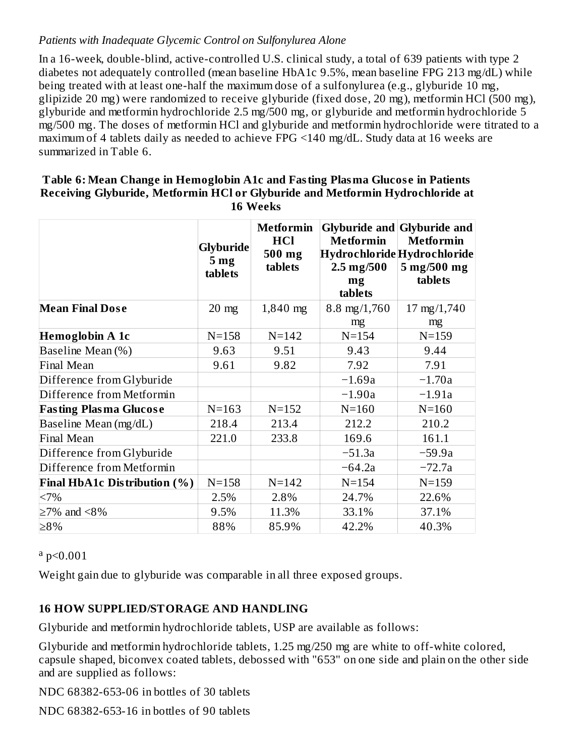### *Patients with Inadequate Glycemic Control on Sulfonylurea Alone*

In a 16-week, double-blind, active-controlled U.S. clinical study, a total of 639 patients with type 2 diabetes not adequately controlled (mean baseline HbA1c 9.5%, mean baseline FPG 213 mg/dL) while being treated with at least one-half the maximum dose of a sulfonylurea (e.g., glyburide 10 mg, glipizide 20 mg) were randomized to receive glyburide (fixed dose, 20 mg), metformin HCl (500 mg), glyburide and metformin hydrochloride 2.5 mg/500 mg, or glyburide and metformin hydrochloride 5 mg/500 mg. The doses of metformin HCl and glyburide and metformin hydrochloride were titrated to a maximum of 4 tablets daily as needed to achieve FPG <140 mg/dL. Study data at 16 weeks are summarized in Table 6.

#### **Table 6: Mean Change in Hemoglobin A1c and Fasting Plasma Glucos e in Patients Receiving Glyburide, Metformin HCl or Glyburide and Metformin Hydrochloride at 16 Weeks**

|                               | <b>Glyburide</b><br>5 <sub>mg</sub><br>tablets | <b>Metformin</b><br>HCl<br>500 mg<br>tablets | <b>Metformin</b><br>Hydrochloride Hydrochloride<br>$2.5 \,\mathrm{mg}/500$<br>mg<br>tablets | <b>Glyburide and Glyburide and</b><br><b>Metformin</b><br>5 mg/500 mg<br>tablets |
|-------------------------------|------------------------------------------------|----------------------------------------------|---------------------------------------------------------------------------------------------|----------------------------------------------------------------------------------|
| <b>Mean Final Dose</b>        | $20 \text{ mg}$                                | $1,840$ mg                                   | $8.8 \text{ mg}/1,760$                                                                      | 17 mg/1,740                                                                      |
| Hemoglobin A 1c               | $N = 158$                                      | $N = 142$                                    | mg<br>$N = 154$                                                                             | mg<br>$N = 159$                                                                  |
| Baseline Mean (%)             | 9.63                                           | 9.51                                         | 9.43                                                                                        | 9.44                                                                             |
| <b>Final Mean</b>             | 9.61                                           | 9.82                                         | 7.92                                                                                        | 7.91                                                                             |
| Difference from Glyburide     |                                                |                                              | $-1.69a$                                                                                    | $-1.70a$                                                                         |
| Difference from Metformin     |                                                |                                              | $-1.90a$                                                                                    | $-1.91a$                                                                         |
| <b>Fasting Plasma Glucose</b> | $N = 163$                                      | $N = 152$                                    | $N = 160$                                                                                   | $N = 160$                                                                        |
| Baseline Mean (mg/dL)         | 218.4                                          | 213.4                                        | 212.2                                                                                       | 210.2                                                                            |
| <b>Final Mean</b>             | 221.0                                          | 233.8                                        | 169.6                                                                                       | 161.1                                                                            |
| Difference from Glyburide     |                                                |                                              | $-51.3a$                                                                                    | $-59.9a$                                                                         |
| Difference from Metformin     |                                                |                                              | $-64.2a$                                                                                    | $-72.7a$                                                                         |
| Final HbA1c Distribution (%)  | $N = 158$                                      | $N = 142$                                    | $N = 154$                                                                                   | $N = 159$                                                                        |
| <7%                           | 2.5%                                           | 2.8%                                         | 24.7%                                                                                       | 22.6%                                                                            |
| $\geq$ 7% and <8%             | 9.5%                                           | 11.3%                                        | 33.1%                                                                                       | 37.1%                                                                            |
| ≥8%                           | 88%                                            | 85.9%                                        | 42.2%                                                                                       | 40.3%                                                                            |

 $a$  p<0.001

Weight gain due to glyburide was comparable in all three exposed groups.

## **16 HOW SUPPLIED/STORAGE AND HANDLING**

Glyburide and metformin hydrochloride tablets, USP are available as follows:

Glyburide and metformin hydrochloride tablets, 1.25 mg/250 mg are white to off-white colored, capsule shaped, biconvex coated tablets, debossed with "653" on one side and plain on the other side and are supplied as follows:

NDC 68382-653-06 in bottles of 30 tablets

NDC 68382-653-16 in bottles of 90 tablets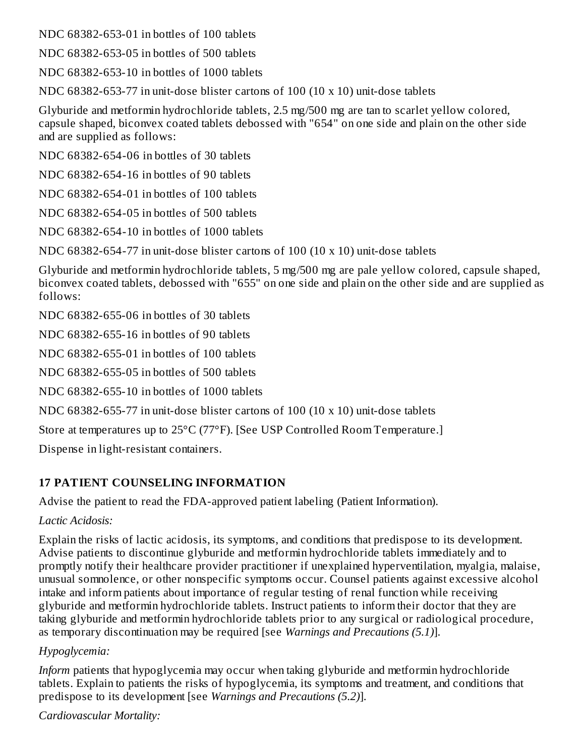NDC 68382-653-01 in bottles of 100 tablets

NDC 68382-653-05 in bottles of 500 tablets

NDC 68382-653-10 in bottles of 1000 tablets

NDC 68382-653-77 in unit-dose blister cartons of 100 (10 x 10) unit-dose tablets

Glyburide and metformin hydrochloride tablets, 2.5 mg/500 mg are tan to scarlet yellow colored, capsule shaped, biconvex coated tablets debossed with "654" on one side and plain on the other side and are supplied as follows:

NDC 68382-654-06 in bottles of 30 tablets

NDC 68382-654-16 in bottles of 90 tablets

NDC 68382-654-01 in bottles of 100 tablets

NDC 68382-654-05 in bottles of 500 tablets

NDC 68382-654-10 in bottles of 1000 tablets

NDC 68382-654-77 in unit-dose blister cartons of 100 (10 x 10) unit-dose tablets

Glyburide and metformin hydrochloride tablets, 5 mg/500 mg are pale yellow colored, capsule shaped, biconvex coated tablets, debossed with "655" on one side and plain on the other side and are supplied as follows:

NDC 68382-655-06 in bottles of 30 tablets

NDC 68382-655-16 in bottles of 90 tablets

NDC 68382-655-01 in bottles of 100 tablets

NDC 68382-655-05 in bottles of 500 tablets

NDC 68382-655-10 in bottles of 1000 tablets

NDC 68382-655-77 in unit-dose blister cartons of 100 (10 x 10) unit-dose tablets

Store at temperatures up to 25°C (77°F). [See USP Controlled Room Temperature.]

Dispense in light-resistant containers.

## **17 PATIENT COUNSELING INFORMATION**

Advise the patient to read the FDA-approved patient labeling (Patient Information).

### *Lactic Acidosis:*

Explain the risks of lactic acidosis, its symptoms, and conditions that predispose to its development. Advise patients to discontinue glyburide and metformin hydrochloride tablets immediately and to promptly notify their healthcare provider practitioner if unexplained hyperventilation, myalgia, malaise, unusual somnolence, or other nonspecific symptoms occur. Counsel patients against excessive alcohol intake and inform patients about importance of regular testing of renal function while receiving glyburide and metformin hydrochloride tablets. Instruct patients to inform their doctor that they are taking glyburide and metformin hydrochloride tablets prior to any surgical or radiological procedure, as temporary discontinuation may be required [see *Warnings and Precautions (5.1)*].

### *Hypoglycemia:*

*Inform* patients that hypoglycemia may occur when taking glyburide and metformin hydrochloride tablets. Explain to patients the risks of hypoglycemia, its symptoms and treatment, and conditions that predispose to its development [see *Warnings and Precautions (5.2)*].

*Cardiovascular Mortality:*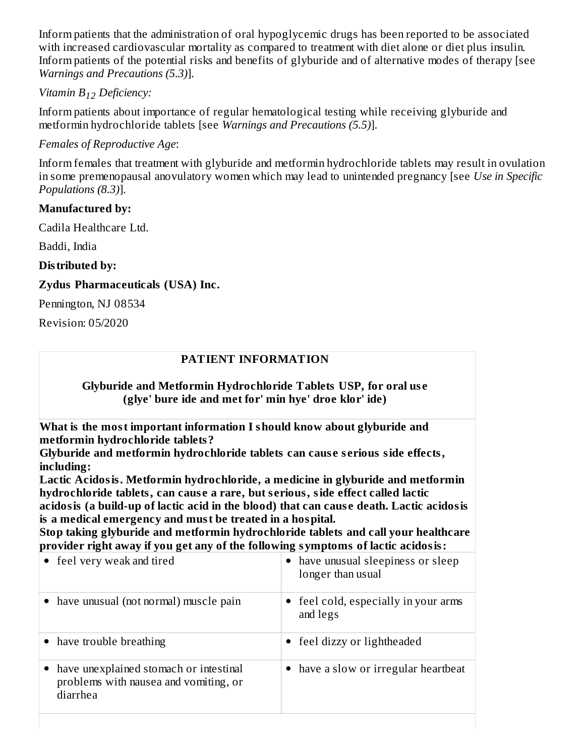Inform patients that the administration of oral hypoglycemic drugs has been reported to be associated with increased cardiovascular mortality as compared to treatment with diet alone or diet plus insulin. Inform patients of the potential risks and benefits of glyburide and of alternative modes of therapy [see *Warnings and Precautions (5.3)*].

## *Vitamin B Deficiency: 12*

Inform patients about importance of regular hematological testing while receiving glyburide and metformin hydrochloride tablets [see *Warnings and Precautions (5.5)*].

## *Females of Reproductive Age*:

Inform females that treatment with glyburide and metformin hydrochloride tablets may result in ovulation in some premenopausal anovulatory women which may lead to unintended pregnancy [see *Use in Specific Populations (8.3)*].

### **Manufactured by:**

Cadila Healthcare Ltd.

Baddi, India

**Distributed by:**

## **Zydus Pharmaceuticals (USA) Inc.**

Pennington, NJ 08534

Revision: 05/2020

## **PATIENT INFORMATION**

### **Glyburide and Metformin Hydrochloride Tablets USP, for oral us e (glye' bure ide and met for' min hye' droe klor' ide)**

**What is the most important information I should know about glyburide and metformin hydrochloride tablets?**

**Glyburide and metformin hydrochloride tablets can caus e s erious side effects, including:**

**Lactic Acidosis. Metformin hydrochloride, a medicine in glyburide and metformin hydrochloride tablets, can caus e a rare, but s erious, side effect called lactic**

**acidosis (a build-up of lactic acid in the blood) that can caus e death. Lactic acidosis is a medical emergency and must be treated in a hospital.**

**Stop taking glyburide and metformin hydrochloride tablets and call your healthcare provider right away if you get any of the following symptoms of lactic acidosis:**

| • feel very weak and tired                                                                  | have unusual sleepiness or sleep<br>longer than usual |
|---------------------------------------------------------------------------------------------|-------------------------------------------------------|
| have unusual (not normal) muscle pain                                                       | feel cold, especially in your arms<br>and legs        |
| • have trouble breathing                                                                    | feel dizzy or lightheaded                             |
| have unexplained stomach or intestinal<br>problems with nausea and vomiting, or<br>diarrhea | • have a slow or irregular heartbeat                  |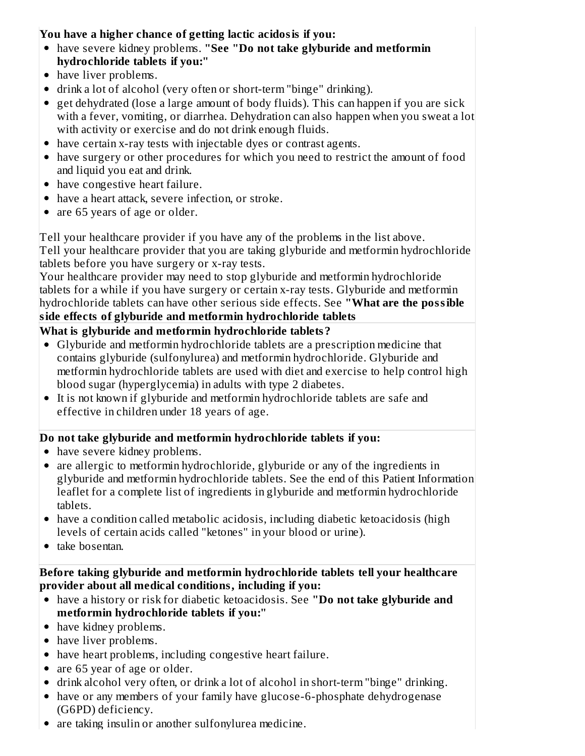## **You have a higher chance of getting lactic acidosis if you:**

- have severe kidney problems. **"See "Do not take glyburide and metformin hydrochloride tablets if you:"**
- have liver problems.
- drink a lot of alcohol (very often or short-term "binge" drinking).
- get dehydrated (lose a large amount of body fluids). This can happen if you are sick with a fever, vomiting, or diarrhea. Dehydration can also happen when you sweat a lot with activity or exercise and do not drink enough fluids.
- have certain x-ray tests with injectable dyes or contrast agents.
- have surgery or other procedures for which you need to restrict the amount of food and liquid you eat and drink.
- have congestive heart failure.
- have a heart attack, severe infection, or stroke.
- are 65 years of age or older.

Tell your healthcare provider if you have any of the problems in the list above.

Tell your healthcare provider that you are taking glyburide and metformin hydrochloride tablets before you have surgery or x-ray tests.

Your healthcare provider may need to stop glyburide and metformin hydrochloride tablets for a while if you have surgery or certain x-ray tests. Glyburide and metformin hydrochloride tablets can have other serious side effects. See **"What are the possible side effects of glyburide and metformin hydrochloride tablets**

## **What is glyburide and metformin hydrochloride tablets?**

- Glyburide and metformin hydrochloride tablets are a prescription medicine that contains glyburide (sulfonylurea) and metformin hydrochloride. Glyburide and metformin hydrochloride tablets are used with diet and exercise to help control high blood sugar (hyperglycemia) in adults with type 2 diabetes.
- It is not known if glyburide and metformin hydrochloride tablets are safe and effective in children under 18 years of age.

## **Do not take glyburide and metformin hydrochloride tablets if you:**

- have severe kidney problems.
- are allergic to metformin hydrochloride, glyburide or any of the ingredients in glyburide and metformin hydrochloride tablets. See the end of this Patient Information leaflet for a complete list of ingredients in glyburide and metformin hydrochloride tablets.
- have a condition called metabolic acidosis, including diabetic ketoacidosis (high levels of certain acids called "ketones" in your blood or urine).
- take bosentan.

**Before taking glyburide and metformin hydrochloride tablets tell your healthcare provider about all medical conditions, including if you:**

- have a history or risk for diabetic ketoacidosis. See **"Do not take glyburide and metformin hydrochloride tablets if you:"**
- have kidney problems.
- have liver problems.
- have heart problems, including congestive heart failure.
- are 65 year of age or older.
- drink alcohol very often, or drink a lot of alcohol in short-term "binge" drinking.
- have or any members of your family have glucose-6-phosphate dehydrogenase (G6PD) deficiency.
- are taking insulin or another sulfonylurea medicine.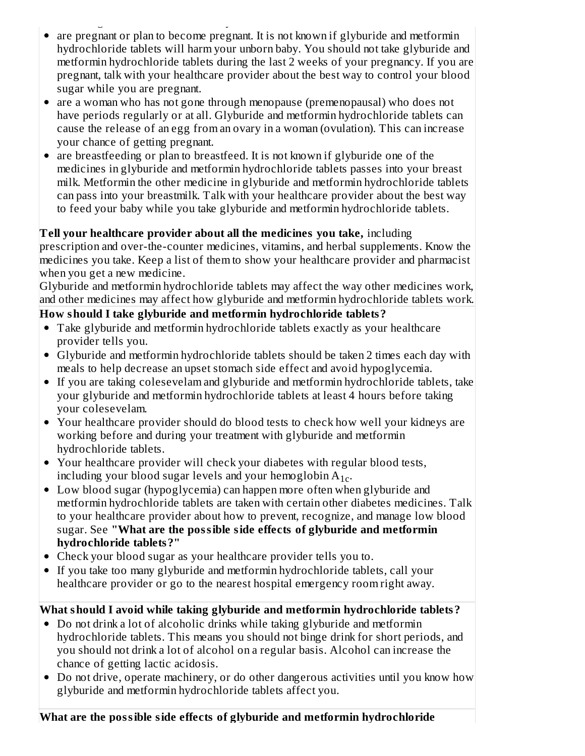- are taking insulin or another sulfonylurea medicine. are pregnant or plan to become pregnant. It is not known if glyburide and metformin hydrochloride tablets will harm your unborn baby. You should not take glyburide and metformin hydrochloride tablets during the last 2 weeks of your pregnancy. If you are pregnant, talk with your healthcare provider about the best way to control your blood sugar while you are pregnant.
- are a woman who has not gone through menopause (premenopausal) who does not have periods regularly or at all. Glyburide and metformin hydrochloride tablets can cause the release of an egg from an ovary in a woman (ovulation). This can increase your chance of getting pregnant.
- are breastfeeding or plan to breastfeed. It is not known if glyburide one of the medicines in glyburide and metformin hydrochloride tablets passes into your breast milk. Metformin the other medicine in glyburide and metformin hydrochloride tablets can pass into your breastmilk. Talk with your healthcare provider about the best way to feed your baby while you take glyburide and metformin hydrochloride tablets.

## **Tell your healthcare provider about all the medicines you take,** including

prescription and over-the-counter medicines, vitamins, and herbal supplements. Know the medicines you take. Keep a list of them to show your healthcare provider and pharmacist when you get a new medicine.

Glyburide and metformin hydrochloride tablets may affect the way other medicines work, and other medicines may affect how glyburide and metformin hydrochloride tablets work.

## **How should I take glyburide and metformin hydrochloride tablets?**

- Take glyburide and metformin hydrochloride tablets exactly as your healthcare provider tells you.
- Glyburide and metformin hydrochloride tablets should be taken 2 times each day with meals to help decrease an upset stomach side effect and avoid hypoglycemia.
- If you are taking colesevelam and glyburide and metformin hydrochloride tablets, take your glyburide and metformin hydrochloride tablets at least 4 hours before taking your colesevelam.
- Your healthcare provider should do blood tests to check how well your kidneys are working before and during your treatment with glyburide and metformin hydrochloride tablets.
- Your healthcare provider will check your diabetes with regular blood tests, including your blood sugar levels and your hemoglobin  $A_{1c}$ .
- Low blood sugar (hypoglycemia) can happen more often when glyburide and metformin hydrochloride tablets are taken with certain other diabetes medicines. Talk to your healthcare provider about how to prevent, recognize, and manage low blood sugar. See **"What are the possible side effects of glyburide and metformin hydrochloride tablets?"**
- Check your blood sugar as your healthcare provider tells you to.
- If you take too many glyburide and metformin hydrochloride tablets, call your healthcare provider or go to the nearest hospital emergency room right away.

# **What should I avoid while taking glyburide and metformin hydrochloride tablets?**

- Do not drink a lot of alcoholic drinks while taking glyburide and metformin hydrochloride tablets. This means you should not binge drink for short periods, and you should not drink a lot of alcohol on a regular basis. Alcohol can increase the chance of getting lactic acidosis.
- Do not drive, operate machinery, or do other dangerous activities until you know how glyburide and metformin hydrochloride tablets affect you.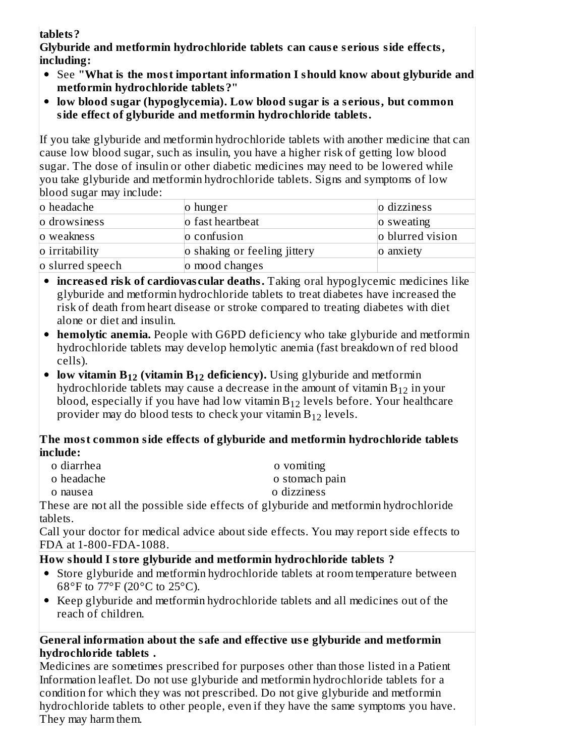## **tablets?**

**Glyburide and metformin hydrochloride tablets can caus e s erious side effects, including:**

- See **"What is the most important information I should know about glyburide and metformin hydrochloride tablets?"**
- **low blood sugar (hypoglycemia). Low blood sugar is a s erious, but common side effect of glyburide and metformin hydrochloride tablets.**

If you take glyburide and metformin hydrochloride tablets with another medicine that can cause low blood sugar, such as insulin, you have a higher risk of getting low blood sugar. The dose of insulin or other diabetic medicines may need to be lowered while you take glyburide and metformin hydrochloride tablets. Signs and symptoms of low blood sugar may include:

| o headache       | o hunger                     | o dizziness      |
|------------------|------------------------------|------------------|
| o drowsiness     | o fast heartbeat             | o sweating       |
| o weakness       | o confusion                  | o blurred vision |
| o irritability   | o shaking or feeling jittery | o anxiety        |
| o slurred speech | o mood changes               |                  |

- **increas ed risk of cardiovas cular deaths.** Taking oral hypoglycemic medicines like glyburide and metformin hydrochloride tablets to treat diabetes have increased the risk of death from heart disease or stroke compared to treating diabetes with diet alone or diet and insulin.
- **hemolytic anemia.** People with G6PD deficiency who take glyburide and metformin hydrochloride tablets may develop hemolytic anemia (fast breakdown of red blood cells).
- **low vitamin B<sub>12</sub> (vitamin B<sub>12</sub> deficiency).** Using glyburide and metformin hydrochloride tablets may cause a decrease in the amount of vitamin  $\rm B_{12}$  in your blood, especially if you have had low vitamin  $\mathrm{B}_{12}$  levels before. Your healthcare provider may do blood tests to check your vitamin  $\rm B_{12}$  levels.

## **The most common side effects of glyburide and metformin hydrochloride tablets include:**

| o diarrhea | o vomiting     |
|------------|----------------|
| o headache | o stomach pain |

o nausea o dizziness

These are not all the possible side effects of glyburide and metformin hydrochloride tablets.

Call your doctor for medical advice about side effects. You may report side effects to FDA at 1-800-FDA-1088.

# **How should I store glyburide and metformin hydrochloride tablets ?**

- Store glyburide and metformin hydrochloride tablets at room temperature between 68°F to 77°F (20°C to 25°C).
- Keep glyburide and metformin hydrochloride tablets and all medicines out of the reach of children.

## **General information about the safe and effective us e glyburide and metformin hydrochloride tablets .**

Medicines are sometimes prescribed for purposes other than those listed in a Patient Information leaflet. Do not use glyburide and metformin hydrochloride tablets for a condition for which they was not prescribed. Do not give glyburide and metformin hydrochloride tablets to other people, even if they have the same symptoms you have. They may harm them.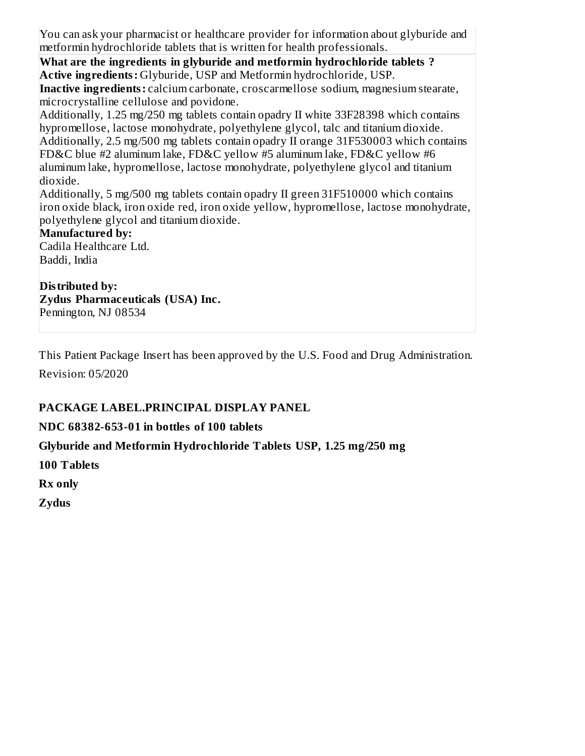You can ask your pharmacist or healthcare provider for information about glyburide and metformin hydrochloride tablets that is written for health professionals.

**What are the ingredients in glyburide and metformin hydrochloride tablets ? Active ingredients:** Glyburide, USP and Metformin hydrochloride, USP. **Inactive ingredients:** calcium carbonate, croscarmellose sodium, magnesium stearate,

microcrystalline cellulose and povidone. Additionally, 1.25 mg/250 mg tablets contain opadry II white 33F28398 which contains hypromellose, lactose monohydrate, polyethylene glycol, talc and titanium dioxide. Additionally, 2.5 mg/500 mg tablets contain opadry II orange 31F530003 which contains FD&C blue #2 aluminum lake, FD&C yellow #5 aluminum lake, FD&C yellow #6 aluminum lake, hypromellose, lactose monohydrate, polyethylene glycol and titanium dioxide.

Additionally, 5 mg/500 mg tablets contain opadry II green 31F510000 which contains iron oxide black, iron oxide red, iron oxide yellow, hypromellose, lactose monohydrate, polyethylene glycol and titanium dioxide.

## **Manufactured by:**

Cadila Healthcare Ltd. Baddi, India

**Distributed by: Zydus Pharmaceuticals (USA) Inc.** Pennington, NJ 08534

This Patient Package Insert has been approved by the U.S. Food and Drug Administration.

Revision: 05/2020

## **PACKAGE LABEL.PRINCIPAL DISPLAY PANEL**

### **NDC 68382-653-01 in bottles of 100 tablets**

### **Glyburide and Metformin Hydrochloride Tablets USP, 1.25 mg/250 mg**

**100 Tablets**

**Rx only**

**Zydus**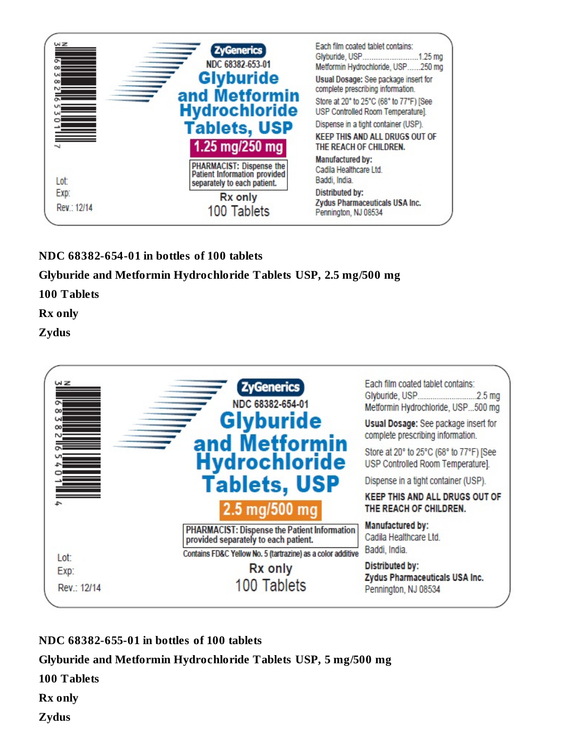

## **NDC 68382-654-01 in bottles of 100 tablets**

**Glyburide and Metformin Hydrochloride Tablets USP, 2.5 mg/500 mg**

**100 Tablets**

**Rx only**

**Zydus**



**NDC 68382-655-01 in bottles of 100 tablets**

**Glyburide and Metformin Hydrochloride Tablets USP, 5 mg/500 mg**

**100 Tablets**

**Rx only**

**Zydus**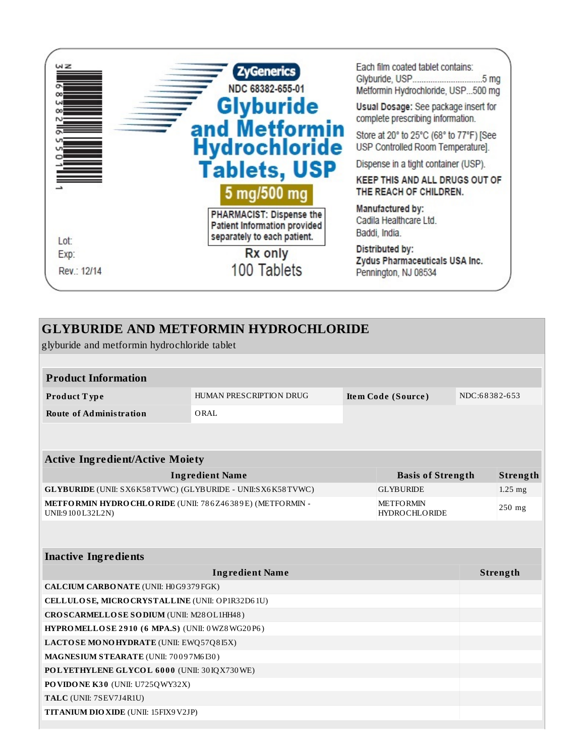

## **GLYBURIDE AND METFORMIN HYDROCHLORIDE**

glyburide and metformin hydrochloride tablet

| <b>Product Information</b> |                         |                    |               |
|----------------------------|-------------------------|--------------------|---------------|
| Product Type               | HUMAN PRESCRIPTION DRUG | Item Code (Source) | NDC:68382-653 |
| Route of Administration    | ORAL                    |                    |               |

| <b>Active Ingredient/Active Moiety</b>                                       |                                          |           |  |
|------------------------------------------------------------------------------|------------------------------------------|-----------|--|
| <b>Ingredient Name</b>                                                       | <b>Basis of Strength</b>                 | Strength  |  |
| <b>GLYBURIDE</b> (UNII: SX6K58TVWC) (GLYBURIDE - UNII:SX6K58TVWC)            | <b>GLYBURIDE</b>                         | $1.25$ mg |  |
| METFORMIN HYDRO CHLORIDE (UNII: 786Z46389E) (METFORMIN -<br>UNII:9100L32L2N) | <b>METFORMIN</b><br><b>HYDROCHLORIDE</b> | $250$ mg  |  |

| <b>Inactive Ingredients</b>                     |                 |
|-------------------------------------------------|-----------------|
| <b>Ingredient Name</b>                          | <b>Strength</b> |
| CALCIUM CARBONATE (UNII: H0G9379FGK)            |                 |
| CELLULOSE, MICRO CRYSTALLINE (UNII: OP1R32D61U) |                 |
| CROSCARMELLOSE SODIUM (UNII: M28OL1HH48)        |                 |
| HYPROMELLOSE 2910 (6 MPA.S) (UNII: 0WZ8WG20P6)  |                 |
| LACTOSE MONOHYDRATE (UNII: EWQ57Q8I5X)          |                 |
| MAGNESIUM STEARATE (UNII: 70097M6I30)           |                 |
| POLYETHYLENE GLYCOL 6000 (UNII: 30IQX730WE)     |                 |
| <b>PO VIDO NE K30 (UNII: U725Q WY32X)</b>       |                 |
| TALC (UNII: 7SEV7J4R1U)                         |                 |
| <b>TITANIUM DIO XIDE (UNII: 15FIX9 V2JP)</b>    |                 |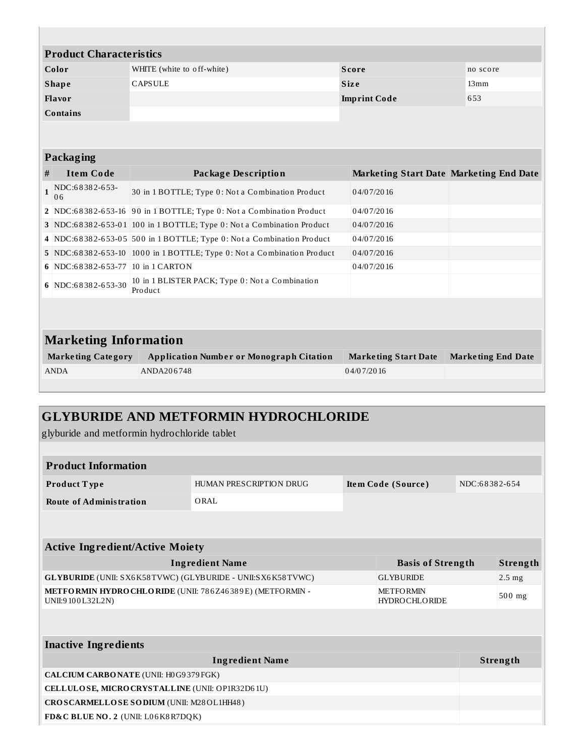| <b>Product Characteristics</b> |                            |                     |          |
|--------------------------------|----------------------------|---------------------|----------|
| Color                          | WHITE (white to off-white) | <b>Score</b>        | no score |
| <b>Shape</b>                   | <b>CAPSULE</b>             | <b>Size</b>         | 13mm     |
| <b>Flavor</b>                  |                            | <b>Imprint Code</b> | 653      |
| <b>Contains</b>                |                            |                     |          |

| <b>Packaging</b> |
|------------------|
|------------------|

|   | - -------                         |                                                                        |                                                |  |
|---|-----------------------------------|------------------------------------------------------------------------|------------------------------------------------|--|
| # | <b>Item Code</b>                  | <b>Package Description</b>                                             | <b>Marketing Start Date Marketing End Date</b> |  |
|   | NDC:68382-653-<br>06              | 30 in 1 BOTTLE; Type 0: Not a Combination Product                      | 04/07/2016                                     |  |
|   |                                   | 2 NDC:68382-653-16 90 in 1 BOTTLE; Type 0: Not a Combination Product   | 04/07/2016                                     |  |
|   |                                   | 3 NDC:68382-653-01 100 in 1 BOTTLE; Type 0: Not a Combination Product  | 04/07/2016                                     |  |
|   |                                   | 4 NDC:68382-653-05 500 in 1 BOTTLE; Type 0: Not a Combination Product  | 04/07/2016                                     |  |
|   |                                   | 5 NDC:68382-653-10 1000 in 1 BOTTLE; Type 0: Not a Combination Product | 04/07/2016                                     |  |
|   | 6 NDC:68382-653-77 10 in 1 CARTON |                                                                        | 04/07/2016                                     |  |
|   | 6 NDC:68382-653-30                | 10 in 1 BLISTER PACK; Type 0: Not a Combination<br>Product             |                                                |  |
|   |                                   |                                                                        |                                                |  |

# **Marketing Information**

| <b>Marketing Category</b> | Application Number or Monograph Citation | <b>Marketing Start Date</b> | Marketing End Date |
|---------------------------|------------------------------------------|-----------------------------|--------------------|
| <b>ANDA</b>               | ANDA206748                               | 04/07/2016                  |                    |

## **GLYBURIDE AND METFORMIN HYDROCHLORIDE**

glyburide and metformin hydrochloride tablet

| <b>Product Information</b>     |                         |                    |               |
|--------------------------------|-------------------------|--------------------|---------------|
| <b>Product Type</b>            | HUMAN PRESCRIPTION DRUG | Item Code (Source) | NDC:68382-654 |
| <b>Route of Administration</b> | ORAL                    |                    |               |
|                                |                         |                    |               |

| <b>Active Ingredient/Active Moiety</b>                                               |                                          |                  |  |
|--------------------------------------------------------------------------------------|------------------------------------------|------------------|--|
| <b>Ingredient Name</b>                                                               | <b>Basis of Strength</b>                 | Strength         |  |
| <b>GLYBURIDE</b> (UNII: SX6K58TVWC) (GLYBURIDE - UNII:SX6K58TVWC)                    | <b>GLYBURIDE</b>                         | $2.5 \text{ mg}$ |  |
| <b>METFORMIN HYDRO CHLORIDE</b> (UNII: 786Z46389E) (METFORMIN -<br>UNII:9 100L32L2N) | <b>METFORMIN</b><br><b>HYDROCHLORIDE</b> | $500$ mg         |  |

| <b>Inactive Ingredients</b>                     |          |  |
|-------------------------------------------------|----------|--|
| <b>Ingredient Name</b>                          | Strength |  |
| CALCIUM CARBONATE (UNII: H0G9379FGK)            |          |  |
| CELLULOSE, MICRO CRYSTALLINE (UNII: OP1R32D61U) |          |  |
| CROSCARMELLOSE SODIUM (UNII: M28OL1HH48)        |          |  |
| FD&C BLUE NO. 2 (UNII: L06K8R7DQK)              |          |  |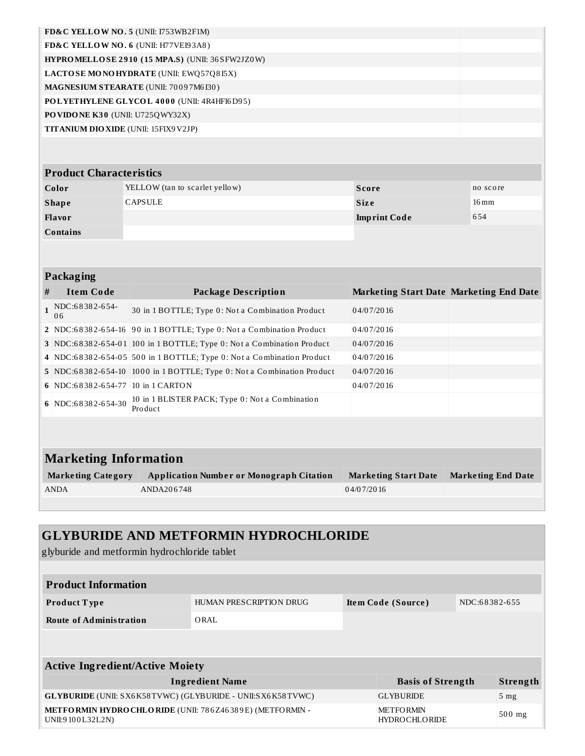| FD&C YELLOW NO. 5 (UNII: $1753WB2F1M$ )            |  |
|----------------------------------------------------|--|
| FD&C YELLOW NO. 6 (UNII: H77VEI93A8)               |  |
| $HYPROMELLOSE 2910 (15 MPA.S) (UNII: 36 SFW2JZ0W)$ |  |
| <b>LACTOSE MONOHYDRATE</b> (UNII: EWQ57Q8I5X)      |  |
| <b>MAGNESIUM STEARATE (UNII: 70097M6I30)</b>       |  |
| POLYETHYLENE GLYCOL 4000 (UNII: 4R4HFI6D95)        |  |
| <b>PO VIDO NE K30</b> (UNII: U725QWY32X)           |  |
| <b>TITANIUM DIO XIDE</b> (UNII: 15FIX9 V2JP)       |  |

# **Product Characteristics**

| Color           | YELLOW (tan to scarlet yellow) | Score               | no score           |
|-----------------|--------------------------------|---------------------|--------------------|
| <b>Shape</b>    | CAPSULE                        | <b>Size</b>         | $16 \,\mathrm{mm}$ |
| <b>Flavor</b>   |                                | <b>Imprint Code</b> | 654                |
| <b>Contains</b> |                                |                     |                    |

### **Packaging**

| <b>Package Description</b><br>30 in 1 BOTTLE; Type 0: Not a Combination Product<br>2 NDC:68382-654-16 90 in 1 BOTTLE; Type 0: Not a Combination Product | <b>Marketing Start Date Marketing End Date</b><br>04/07/2016<br>04/07/2016 |  |
|---------------------------------------------------------------------------------------------------------------------------------------------------------|----------------------------------------------------------------------------|--|
|                                                                                                                                                         |                                                                            |  |
|                                                                                                                                                         |                                                                            |  |
|                                                                                                                                                         |                                                                            |  |
| 3 NDC:68382-654-01 100 in 1 BOTTLE; Type 0: Not a Combination Product                                                                                   | 04/07/2016                                                                 |  |
| 4 NDC:68382-654-05 500 in 1 BOTTLE; Type 0: Not a Combination Product                                                                                   | 04/07/2016                                                                 |  |
| 5 NDC:68382-654-10 1000 in 1 BOTTLE; Type 0: Not a Combination Product                                                                                  | 04/07/2016                                                                 |  |
| 6 NDC:68382-654-77 10 in 1 CARTON                                                                                                                       | 04/07/2016                                                                 |  |
| 10 in 1 BLISTER PACK; Type 0: Not a Combination<br>Product                                                                                              |                                                                            |  |
|                                                                                                                                                         |                                                                            |  |

# **Marketing Information**

| <b>Marketing Category</b> | <b>Application Number or Monograph Citation</b> | <b>Marketing Start Date</b> | <b>Marketing End Date</b> |
|---------------------------|-------------------------------------------------|-----------------------------|---------------------------|
| ANDA                      | ANDA206748                                      | 04/07/2016                  |                           |

# **GLYBURIDE AND METFORMIN HYDROCHLORIDE**

glyburide and metformin hydrochloride tablet

| <b>Product Information</b>      |                         |                    |               |  |
|---------------------------------|-------------------------|--------------------|---------------|--|
| <b>Product Type</b>             | HUMAN PRESCRIPTION DRUG | Item Code (Source) | NDC:68382-655 |  |
| <b>Route of Administration</b>  | ORAL                    |                    |               |  |
|                                 |                         |                    |               |  |
|                                 |                         |                    |               |  |
| Active Ingradiant/Active Mojety |                         |                    |               |  |

| ACUVE INGLEGIENT ACUVE MORTY                                                  |                                   |                 |  |
|-------------------------------------------------------------------------------|-----------------------------------|-----------------|--|
| <b>Ingredient Name</b>                                                        | <b>Basis of Strength</b>          | Strength        |  |
| <b>GLYBURIDE</b> (UNII: SX6K58TVWC) (GLYBURIDE - UNII:SX6K58TVWC)             | <b>GLYBURIDE</b>                  | 5 <sub>mg</sub> |  |
| METFORMIN HYDRO CHLORIDE (UNII: 786Z46389E) (METFORMIN -<br>UNII:9 100L32L2N) | <b>METFORMIN</b><br>HYDROCHLORIDE | $500$ mg        |  |